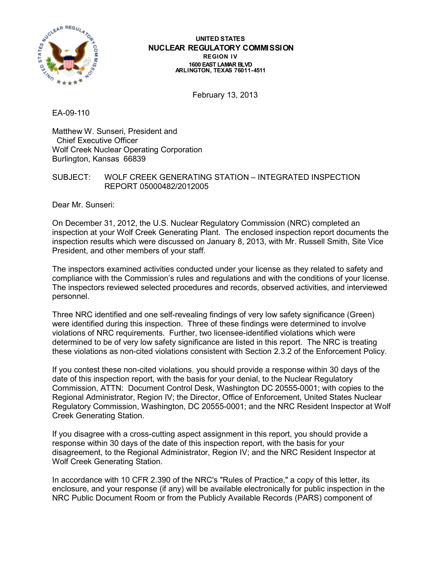

#### **UNITED STATES NUCLEAR REGULATORY COMMISSION REGION IV 1600 EAST LAMAR BLVD ARLINGTON, TEXAS 76011-4511**

February 13, 2013

EA-09-110

Matthew W. Sunseri, President and Chief Executive Officer Wolf Creek Nuclear Operating Corporation Burlington, Kansas 66839

SUBJECT: WOLF CREEK GENERATING STATION – INTEGRATED INSPECTION REPORT 05000482/2012005

Dear Mr. Sunseri:

On December 31, 2012, the U.S. Nuclear Regulatory Commission (NRC) completed an inspection at your Wolf Creek Generating Plant. The enclosed inspection report documents the inspection results which were discussed on January 8, 2013, with Mr. Russell Smith, Site Vice President, and other members of your staff.

The inspectors examined activities conducted under your license as they related to safety and compliance with the Commission's rules and regulations and with the conditions of your license. The inspectors reviewed selected procedures and records, observed activities, and interviewed personnel.

Three NRC identified and one self-revealing findings of very low safety significance (Green) were identified during this inspection. Three of these findings were determined to involve violations of NRC requirements. Further, two licensee-identified violations which were determined to be of very low safety significance are listed in this report. The NRC is treating these violations as non-cited violations consistent with Section 2.3.2 of the Enforcement Policy.

If you contest these non-cited violations, you should provide a response within 30 days of the date of this inspection report, with the basis for your denial, to the Nuclear Regulatory Commission, ATTN: Document Control Desk, Washington DC 20555-0001; with copies to the Regional Administrator, Region IV; the Director, Office of Enforcement, United States Nuclear Regulatory Commission, Washington, DC 20555-0001; and the NRC Resident Inspector at Wolf Creek Generating Station.

If you disagree with a cross-cutting aspect assignment in this report, you should provide a response within 30 days of the date of this inspection report, with the basis for your disagreement, to the Regional Administrator, Region IV; and the NRC Resident Inspector at Wolf Creek Generating Station.

In accordance with 10 CFR 2.390 of the NRC's "Rules of Practice," a copy of this letter, its enclosure, and your response (if any) will be available electronically for public inspection in the NRC Public Document Room or from the Publicly Available Records (PARS) component of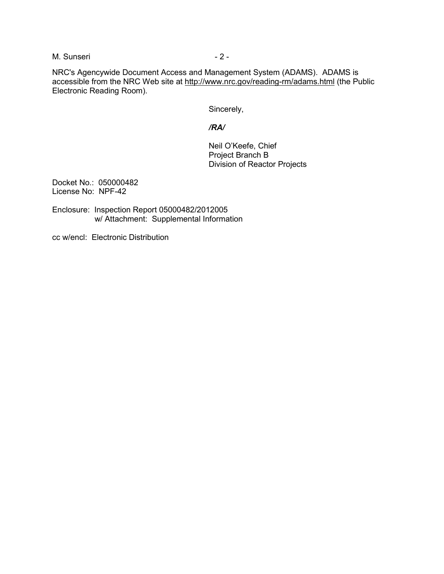M. Sunseri - 2 -

NRC's Agencywide Document Access and Management System (ADAMS). ADAMS is accessible from the NRC Web site at http://www.nrc.gov/reading-rm/adams.html (the Public Electronic Reading Room).

Sincerely,

#### */RA/*

Neil O'Keefe, Chief Project Branch B Division of Reactor Projects

Docket No.: 050000482 License No: NPF-42

Enclosure: Inspection Report 05000482/2012005 w/ Attachment: Supplemental Information

cc w/encl: Electronic Distribution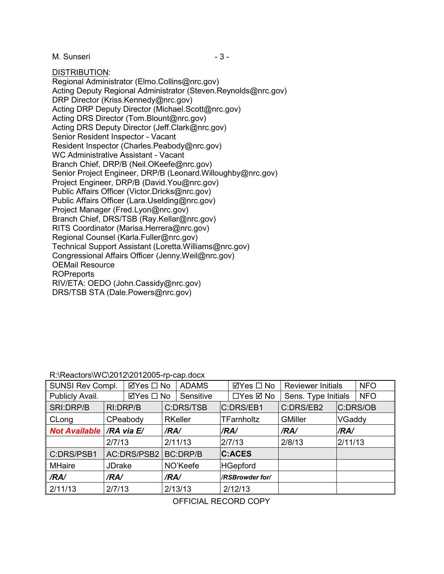M. Sunseri - 3 -

DISTRIBUTION:

Regional Administrator (Elmo.Collins@nrc.gov) Acting Deputy Regional Administrator (Steven.Reynolds@nrc.gov) DRP Director (Kriss.Kennedy@nrc.gov) Acting DRP Deputy Director (Michael.Scott@nrc.gov) Acting DRS Director (Tom.Blount@nrc.gov) Acting DRS Deputy Director (Jeff.Clark@nrc.gov) Senior Resident Inspector - Vacant Resident Inspector (Charles.Peabody@nrc.gov) WC Administrative Assistant - Vacant Branch Chief, DRP/B (Neil.OKeefe@nrc.gov) Senior Project Engineer, DRP/B (Leonard.Willoughby@nrc.gov) Project Engineer, DRP/B (David.You@nrc.gov) Public Affairs Officer (Victor.Dricks@nrc.gov) Public Affairs Officer (Lara.Uselding@nrc.gov) Project Manager (Fred.Lyon@nrc.gov) Branch Chief, DRS/TSB (Ray.Kellar@nrc.gov) RITS Coordinator (Marisa.Herrera@nrc.gov) Regional Counsel (Karla.Fuller@nrc.gov) Technical Support Assistant (Loretta.Williams@nrc.gov) Congressional Affairs Officer (Jenny.Weil@nrc.gov) OEMail Resource ROPreports RIV/ETA: OEDO (John.Cassidy@nrc.gov) DRS/TSB STA (Dale.Powers@nrc.gov)

### R:\Reactors\WC\2012\2012005-rp-cap.docx

| SUNSI Rev Compl.     |               | ⊠Yes □ No   |      | <b>ADAMS</b>    | ⊠Yes □ No         | <b>Reviewer Initials</b> |         | <b>NFO</b> |
|----------------------|---------------|-------------|------|-----------------|-------------------|--------------------------|---------|------------|
| Publicly Avail.      |               | ⊠Yes □ No   |      | Sensitive       | □Yes ☑ No         | Sens. Type Initials      |         | <b>NFO</b> |
| SRI:DRP/B            |               | RI:DRP/B    |      | C:DRS/TSB       | C:DRS/EB1         | C:DRS/EB2                |         | C:DRS/OB   |
| CLong                |               | CPeabody    |      | <b>RKeller</b>  | <b>TFarnholtz</b> | <b>GMiller</b>           | VGaddy  |            |
| <b>Not Available</b> |               | /RA via E/  | /RA/ |                 | /RA/              | /RA/                     | /RA/    |            |
|                      | 2/7/13        |             |      | 2/11/13         | 2/7/13            | 2/8/13                   | 2/11/13 |            |
| C:DRS/PSB1           |               | AC:DRS/PSB2 |      | <b>BC:DRP/B</b> | <b>C:ACES</b>     |                          |         |            |
| <b>MHaire</b>        | <b>JDrake</b> |             |      | NO'Keefe        | <b>HGepford</b>   |                          |         |            |
| /RA/                 | /RA/          |             | /RA/ |                 | /RSBrowder for/   |                          |         |            |
| 2/11/13              | 2/7/13        |             |      | 2/13/13         | 2/12/13           |                          |         |            |

OFFICIAL RECORD COPY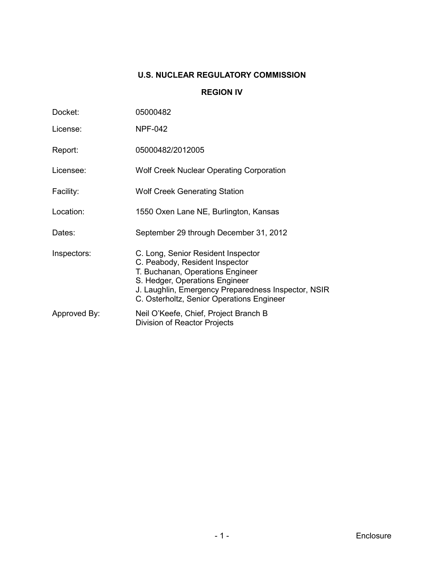# **U.S. NUCLEAR REGULATORY COMMISSION**

#### **REGION IV**

| Docket:      | 05000482                                                                                                                                                                                                                                       |
|--------------|------------------------------------------------------------------------------------------------------------------------------------------------------------------------------------------------------------------------------------------------|
| License:     | <b>NPF-042</b>                                                                                                                                                                                                                                 |
| Report:      | 05000482/2012005                                                                                                                                                                                                                               |
| Licensee:    | <b>Wolf Creek Nuclear Operating Corporation</b>                                                                                                                                                                                                |
| Facility:    | <b>Wolf Creek Generating Station</b>                                                                                                                                                                                                           |
| Location:    | 1550 Oxen Lane NE, Burlington, Kansas                                                                                                                                                                                                          |
| Dates:       | September 29 through December 31, 2012                                                                                                                                                                                                         |
| Inspectors:  | C. Long, Senior Resident Inspector<br>C. Peabody, Resident Inspector<br>T. Buchanan, Operations Engineer<br>S. Hedger, Operations Engineer<br>J. Laughlin, Emergency Preparedness Inspector, NSIR<br>C. Osterholtz, Senior Operations Engineer |
| Approved By: | Neil O'Keefe, Chief, Project Branch B<br>Division of Reactor Projects                                                                                                                                                                          |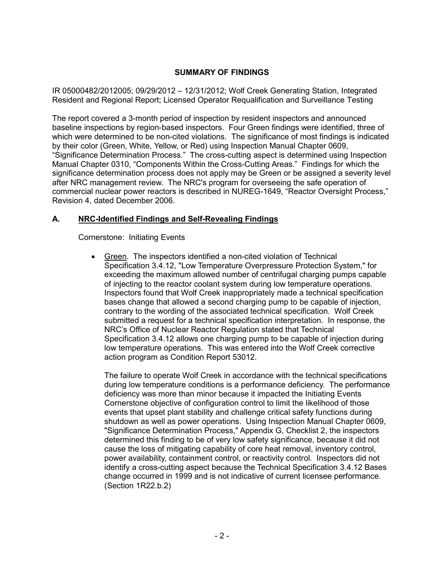### **SUMMARY OF FINDINGS**

IR 05000482/2012005; 09/29/2012 – 12/31/2012; Wolf Creek Generating Station, Integrated Resident and Regional Report; Licensed Operator Requalification and Surveillance Testing

The report covered a 3-month period of inspection by resident inspectors and announced baseline inspections by region-based inspectors. Four Green findings were identified, three of which were determined to be non-cited violations. The significance of most findings is indicated by their color (Green, White, Yellow, or Red) using Inspection Manual Chapter 0609, "Significance Determination Process." The cross-cutting aspect is determined using Inspection Manual Chapter 0310, "Components Within the Cross-Cutting Areas." Findings for which the significance determination process does not apply may be Green or be assigned a severity level after NRC management review. The NRC's program for overseeing the safe operation of commercial nuclear power reactors is described in NUREG-1649, "Reactor Oversight Process," Revision 4, dated December 2006.

### **A. NRC-Identified Findings and Self-Revealing Findings**

Cornerstone: Initiating Events

• Green. The inspectors identified a non-cited violation of Technical Specification 3.4.12, "Low Temperature Overpressure Protection System," for exceeding the maximum allowed number of centrifugal charging pumps capable of injecting to the reactor coolant system during low temperature operations. Inspectors found that Wolf Creek inappropriately made a technical specification bases change that allowed a second charging pump to be capable of injection, contrary to the wording of the associated technical specification. Wolf Creek submitted a request for a technical specification interpretation. In response, the NRC's Office of Nuclear Reactor Regulation stated that Technical Specification 3.4.12 allows one charging pump to be capable of injection during low temperature operations. This was entered into the Wolf Creek corrective action program as Condition Report 53012.

The failure to operate Wolf Creek in accordance with the technical specifications during low temperature conditions is a performance deficiency. The performance deficiency was more than minor because it impacted the Initiating Events Cornerstone objective of configuration control to limit the likelihood of those events that upset plant stability and challenge critical safety functions during shutdown as well as power operations. Using Inspection Manual Chapter 0609, "Significance Determination Process," Appendix G, Checklist 2, the inspectors determined this finding to be of very low safety significance, because it did not cause the loss of mitigating capability of core heat removal, inventory control, power availability, containment control, or reactivity control. Inspectors did not identify a cross-cutting aspect because the Technical Specification 3.4.12 Bases change occurred in 1999 and is not indicative of current licensee performance. (Section 1R22.b.2)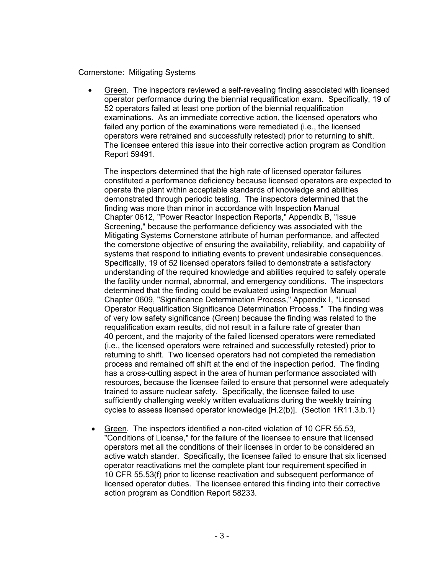#### Cornerstone: Mitigating Systems

• Green. The inspectors reviewed a self-revealing finding associated with licensed operator performance during the biennial requalification exam. Specifically, 19 of 52 operators failed at least one portion of the biennial requalification examinations. As an immediate corrective action, the licensed operators who failed any portion of the examinations were remediated (i.e., the licensed operators were retrained and successfully retested) prior to returning to shift. The licensee entered this issue into their corrective action program as Condition Report 59491.

The inspectors determined that the high rate of licensed operator failures constituted a performance deficiency because licensed operators are expected to operate the plant within acceptable standards of knowledge and abilities demonstrated through periodic testing. The inspectors determined that the finding was more than minor in accordance with Inspection Manual Chapter 0612, "Power Reactor Inspection Reports," Appendix B, "Issue Screening," because the performance deficiency was associated with the Mitigating Systems Cornerstone attribute of human performance, and affected the cornerstone objective of ensuring the availability, reliability, and capability of systems that respond to initiating events to prevent undesirable consequences. Specifically, 19 of 52 licensed operators failed to demonstrate a satisfactory understanding of the required knowledge and abilities required to safely operate the facility under normal, abnormal, and emergency conditions. The inspectors determined that the finding could be evaluated using Inspection Manual Chapter 0609, "Significance Determination Process," Appendix I, "Licensed Operator Requalification Significance Determination Process." The finding was of very low safety significance (Green) because the finding was related to the requalification exam results, did not result in a failure rate of greater than 40 percent, and the majority of the failed licensed operators were remediated (i.e., the licensed operators were retrained and successfully retested) prior to returning to shift. Two licensed operators had not completed the remediation process and remained off shift at the end of the inspection period. The finding has a cross-cutting aspect in the area of human performance associated with resources, because the licensee failed to ensure that personnel were adequately trained to assure nuclear safety. Specifically, the licensee failed to use sufficiently challenging weekly written evaluations during the weekly training cycles to assess licensed operator knowledge [H.2(b)]. (Section 1R11.3.b.1)

• Green. The inspectors identified a non-cited violation of 10 CFR 55.53, "Conditions of License," for the failure of the licensee to ensure that licensed operators met all the conditions of their licenses in order to be considered an active watch stander. Specifically, the licensee failed to ensure that six licensed operator reactivations met the complete plant tour requirement specified in 10 CFR 55.53(f) prior to license reactivation and subsequent performance of licensed operator duties. The licensee entered this finding into their corrective action program as Condition Report 58233.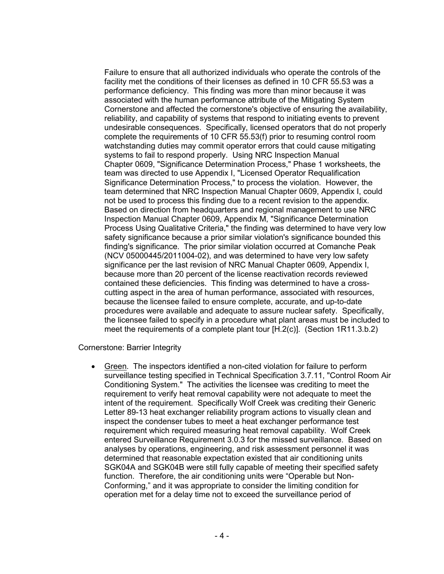Failure to ensure that all authorized individuals who operate the controls of the facility met the conditions of their licenses as defined in 10 CFR 55.53 was a performance deficiency. This finding was more than minor because it was associated with the human performance attribute of the Mitigating System Cornerstone and affected the cornerstone's objective of ensuring the availability, reliability, and capability of systems that respond to initiating events to prevent undesirable consequences. Specifically, licensed operators that do not properly complete the requirements of 10 CFR 55.53(f) prior to resuming control room watchstanding duties may commit operator errors that could cause mitigating systems to fail to respond properly. Using NRC Inspection Manual Chapter 0609, "Significance Determination Process," Phase 1 worksheets, the team was directed to use Appendix I, "Licensed Operator Requalification Significance Determination Process," to process the violation. However, the team determined that NRC Inspection Manual Chapter 0609, Appendix I, could not be used to process this finding due to a recent revision to the appendix. Based on direction from headquarters and regional management to use NRC Inspection Manual Chapter 0609, Appendix M, "Significance Determination Process Using Qualitative Criteria," the finding was determined to have very low safety significance because a prior similar violation's significance bounded this finding's significance. The prior similar violation occurred at Comanche Peak (NCV 05000445/2011004-02), and was determined to have very low safety significance per the last revision of NRC Manual Chapter 0609, Appendix I, because more than 20 percent of the license reactivation records reviewed contained these deficiencies. This finding was determined to have a crosscutting aspect in the area of human performance, associated with resources, because the licensee failed to ensure complete, accurate, and up-to-date procedures were available and adequate to assure nuclear safety. Specifically, the licensee failed to specify in a procedure what plant areas must be included to meet the requirements of a complete plant tour [H.2(c)]. (Section 1R11.3.b.2)

Cornerstone: Barrier Integrity

• Green. The inspectors identified a non-cited violation for failure to perform surveillance testing specified in Technical Specification 3.7.11, "Control Room Air Conditioning System." The activities the licensee was crediting to meet the requirement to verify heat removal capability were not adequate to meet the intent of the requirement. Specifically Wolf Creek was crediting their Generic Letter 89-13 heat exchanger reliability program actions to visually clean and inspect the condenser tubes to meet a heat exchanger performance test requirement which required measuring heat removal capability. Wolf Creek entered Surveillance Requirement 3.0.3 for the missed surveillance. Based on analyses by operations, engineering, and risk assessment personnel it was determined that reasonable expectation existed that air conditioning units SGK04A and SGK04B were still fully capable of meeting their specified safety function. Therefore, the air conditioning units were "Operable but Non-Conforming," and it was appropriate to consider the limiting condition for operation met for a delay time not to exceed the surveillance period of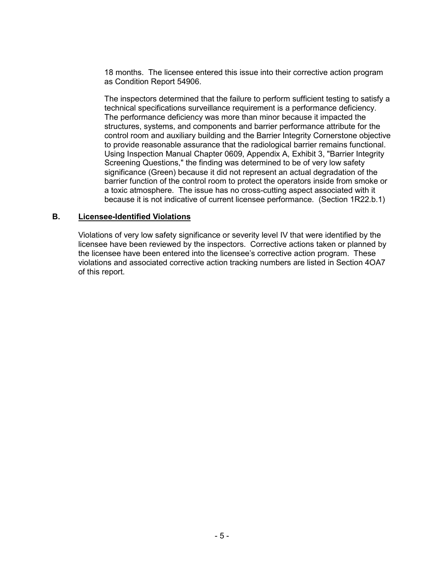18 months. The licensee entered this issue into their corrective action program as Condition Report 54906.

The inspectors determined that the failure to perform sufficient testing to satisfy a technical specifications surveillance requirement is a performance deficiency. The performance deficiency was more than minor because it impacted the structures, systems, and components and barrier performance attribute for the control room and auxiliary building and the Barrier Integrity Cornerstone objective to provide reasonable assurance that the radiological barrier remains functional. Using Inspection Manual Chapter 0609, Appendix A, Exhibit 3, "Barrier Integrity Screening Questions," the finding was determined to be of very low safety significance (Green) because it did not represent an actual degradation of the barrier function of the control room to protect the operators inside from smoke or a toxic atmosphere. The issue has no cross-cutting aspect associated with it because it is not indicative of current licensee performance. (Section 1R22.b.1)

#### **B. Licensee-Identified Violations**

Violations of very low safety significance or severity level IV that were identified by the licensee have been reviewed by the inspectors. Corrective actions taken or planned by the licensee have been entered into the licensee's corrective action program. These violations and associated corrective action tracking numbers are listed in Section 4OA7 of this report.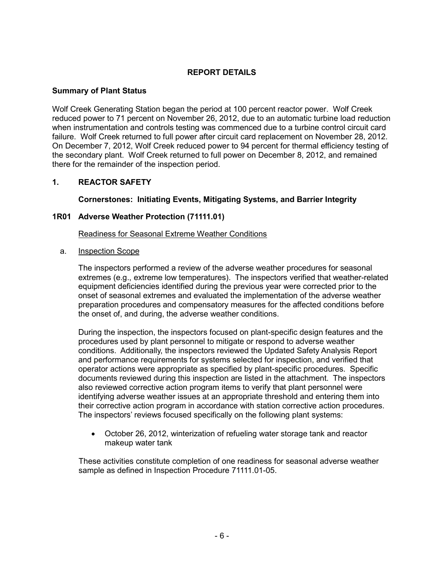### **REPORT DETAILS**

#### **Summary of Plant Status**

Wolf Creek Generating Station began the period at 100 percent reactor power. Wolf Creek reduced power to 71 percent on November 26, 2012, due to an automatic turbine load reduction when instrumentation and controls testing was commenced due to a turbine control circuit card failure. Wolf Creek returned to full power after circuit card replacement on November 28, 2012. On December 7, 2012, Wolf Creek reduced power to 94 percent for thermal efficiency testing of the secondary plant. Wolf Creek returned to full power on December 8, 2012, and remained there for the remainder of the inspection period.

#### **1. REACTOR SAFETY**

#### **Cornerstones: Initiating Events, Mitigating Systems, and Barrier Integrity**

#### **1R01 Adverse Weather Protection (71111.01)**

Readiness for Seasonal Extreme Weather Conditions

#### a. Inspection Scope

The inspectors performed a review of the adverse weather procedures for seasonal extremes (e.g., extreme low temperatures). The inspectors verified that weather-related equipment deficiencies identified during the previous year were corrected prior to the onset of seasonal extremes and evaluated the implementation of the adverse weather preparation procedures and compensatory measures for the affected conditions before the onset of, and during, the adverse weather conditions.

During the inspection, the inspectors focused on plant-specific design features and the procedures used by plant personnel to mitigate or respond to adverse weather conditions. Additionally, the inspectors reviewed the Updated Safety Analysis Report and performance requirements for systems selected for inspection, and verified that operator actions were appropriate as specified by plant-specific procedures. Specific documents reviewed during this inspection are listed in the attachment. The inspectors also reviewed corrective action program items to verify that plant personnel were identifying adverse weather issues at an appropriate threshold and entering them into their corrective action program in accordance with station corrective action procedures. The inspectors' reviews focused specifically on the following plant systems:

• October 26, 2012, winterization of refueling water storage tank and reactor makeup water tank

These activities constitute completion of one readiness for seasonal adverse weather sample as defined in Inspection Procedure 71111.01-05.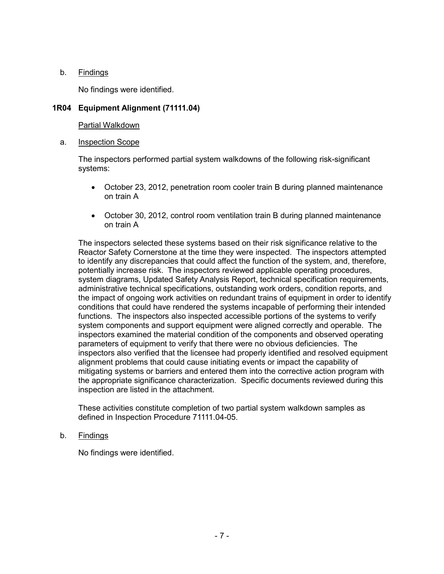#### b. Findings

No findings were identified.

#### **1R04 Equipment Alignment (71111.04)**

#### Partial Walkdown

a. Inspection Scope

The inspectors performed partial system walkdowns of the following risk-significant systems:

- October 23, 2012, penetration room cooler train B during planned maintenance on train A
- October 30, 2012, control room ventilation train B during planned maintenance on train A

The inspectors selected these systems based on their risk significance relative to the Reactor Safety Cornerstone at the time they were inspected. The inspectors attempted to identify any discrepancies that could affect the function of the system, and, therefore, potentially increase risk. The inspectors reviewed applicable operating procedures, system diagrams, Updated Safety Analysis Report, technical specification requirements, administrative technical specifications, outstanding work orders, condition reports, and the impact of ongoing work activities on redundant trains of equipment in order to identify conditions that could have rendered the systems incapable of performing their intended functions. The inspectors also inspected accessible portions of the systems to verify system components and support equipment were aligned correctly and operable. The inspectors examined the material condition of the components and observed operating parameters of equipment to verify that there were no obvious deficiencies. The inspectors also verified that the licensee had properly identified and resolved equipment alignment problems that could cause initiating events or impact the capability of mitigating systems or barriers and entered them into the corrective action program with the appropriate significance characterization. Specific documents reviewed during this inspection are listed in the attachment.

These activities constitute completion of two partial system walkdown samples as defined in Inspection Procedure 71111.04-05.

b. Findings

No findings were identified.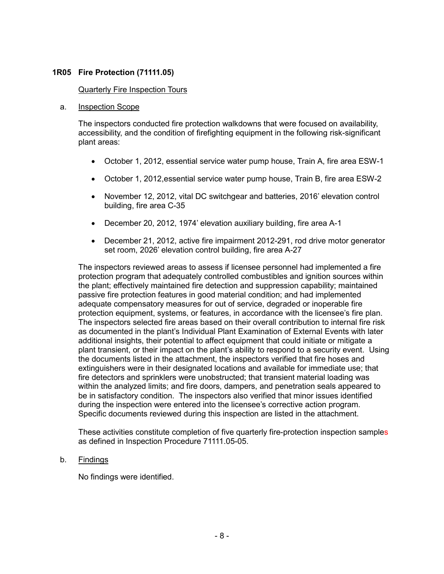#### **1R05 Fire Protection (71111.05)**

#### Quarterly Fire Inspection Tours

#### a. Inspection Scope

The inspectors conducted fire protection walkdowns that were focused on availability, accessibility, and the condition of firefighting equipment in the following risk-significant plant areas:

- October 1, 2012, essential service water pump house, Train A, fire area ESW-1
- October 1, 2012,essential service water pump house, Train B, fire area ESW-2
- November 12, 2012, vital DC switchgear and batteries, 2016' elevation control building, fire area C-35
- December 20, 2012, 1974' elevation auxiliary building, fire area A-1
- December 21, 2012, active fire impairment 2012-291, rod drive motor generator set room, 2026' elevation control building, fire area A-27

The inspectors reviewed areas to assess if licensee personnel had implemented a fire protection program that adequately controlled combustibles and ignition sources within the plant; effectively maintained fire detection and suppression capability; maintained passive fire protection features in good material condition; and had implemented adequate compensatory measures for out of service, degraded or inoperable fire protection equipment, systems, or features, in accordance with the licensee's fire plan. The inspectors selected fire areas based on their overall contribution to internal fire risk as documented in the plant's Individual Plant Examination of External Events with later additional insights, their potential to affect equipment that could initiate or mitigate a plant transient, or their impact on the plant's ability to respond to a security event. Using the documents listed in the attachment, the inspectors verified that fire hoses and extinguishers were in their designated locations and available for immediate use; that fire detectors and sprinklers were unobstructed; that transient material loading was within the analyzed limits; and fire doors, dampers, and penetration seals appeared to be in satisfactory condition. The inspectors also verified that minor issues identified during the inspection were entered into the licensee's corrective action program. Specific documents reviewed during this inspection are listed in the attachment.

These activities constitute completion of five quarterly fire-protection inspection samples as defined in Inspection Procedure 71111.05-05.

#### b. Findings

No findings were identified.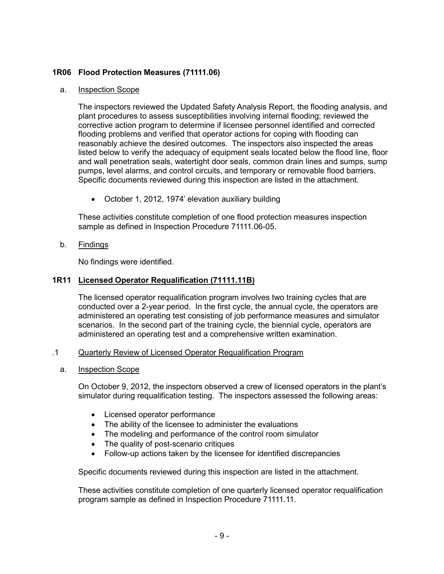### **1R06 Flood Protection Measures (71111.06)**

#### a. Inspection Scope

The inspectors reviewed the Updated Safety Analysis Report, the flooding analysis, and plant procedures to assess susceptibilities involving internal flooding; reviewed the corrective action program to determine if licensee personnel identified and corrected flooding problems and verified that operator actions for coping with flooding can reasonably achieve the desired outcomes. The inspectors also inspected the areas listed below to verify the adequacy of equipment seals located below the flood line, floor and wall penetration seals, watertight door seals, common drain lines and sumps, sump pumps, level alarms, and control circuits, and temporary or removable flood barriers. Specific documents reviewed during this inspection are listed in the attachment.

• October 1, 2012, 1974' elevation auxiliary building

These activities constitute completion of one flood protection measures inspection sample as defined in Inspection Procedure 71111.06-05.

b. Findings

No findings were identified.

#### **1R11 Licensed Operator Requalification (71111.11B)**

The licensed operator requalification program involves two training cycles that are conducted over a 2-year period. In the first cycle, the annual cycle, the operators are administered an operating test consisting of job performance measures and simulator scenarios. In the second part of the training cycle, the biennial cycle, operators are administered an operating test and a comprehensive written examination.

#### .1 Quarterly Review of Licensed Operator Requalification Program

a. Inspection Scope

On October 9, 2012, the inspectors observed a crew of licensed operators in the plant's simulator during requalification testing. The inspectors assessed the following areas:

- Licensed operator performance
- The ability of the licensee to administer the evaluations
- The modeling and performance of the control room simulator
- The quality of post-scenario critiques
- Follow-up actions taken by the licensee for identified discrepancies

Specific documents reviewed during this inspection are listed in the attachment.

These activities constitute completion of one quarterly licensed operator requalification program sample as defined in Inspection Procedure 71111.11.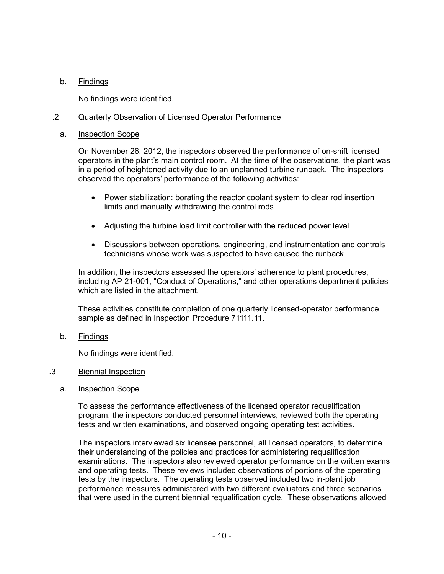### b. Findings

No findings were identified.

#### .2 Quarterly Observation of Licensed Operator Performance

#### a. Inspection Scope

On November 26, 2012, the inspectors observed the performance of on-shift licensed operators in the plant's main control room. At the time of the observations, the plant was in a period of heightened activity due to an unplanned turbine runback. The inspectors observed the operators' performance of the following activities:

- Power stabilization: borating the reactor coolant system to clear rod insertion limits and manually withdrawing the control rods
- Adjusting the turbine load limit controller with the reduced power level
- Discussions between operations, engineering, and instrumentation and controls technicians whose work was suspected to have caused the runback

In addition, the inspectors assessed the operators' adherence to plant procedures, including AP 21-001, "Conduct of Operations," and other operations department policies which are listed in the attachment.

These activities constitute completion of one quarterly licensed-operator performance sample as defined in Inspection Procedure 71111.11.

b. Findings

No findings were identified.

#### .3 Biennial Inspection

a. Inspection Scope

To assess the performance effectiveness of the licensed operator requalification program, the inspectors conducted personnel interviews, reviewed both the operating tests and written examinations, and observed ongoing operating test activities.

The inspectors interviewed six licensee personnel, all licensed operators, to determine their understanding of the policies and practices for administering requalification examinations. The inspectors also reviewed operator performance on the written exams and operating tests. These reviews included observations of portions of the operating tests by the inspectors. The operating tests observed included two in-plant job performance measures administered with two different evaluators and three scenarios that were used in the current biennial requalification cycle. These observations allowed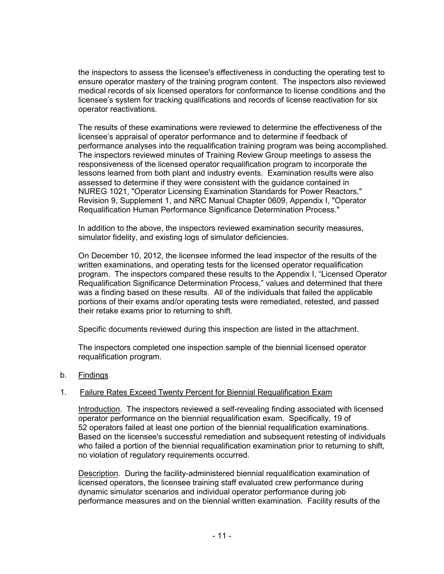the inspectors to assess the licensee's effectiveness in conducting the operating test to ensure operator mastery of the training program content. The inspectors also reviewed medical records of six licensed operators for conformance to license conditions and the licensee's system for tracking qualifications and records of license reactivation for six operator reactivations.

The results of these examinations were reviewed to determine the effectiveness of the licensee's appraisal of operator performance and to determine if feedback of performance analyses into the requalification training program was being accomplished. The inspectors reviewed minutes of Training Review Group meetings to assess the responsiveness of the licensed operator requalification program to incorporate the lessons learned from both plant and industry events. Examination results were also assessed to determine if they were consistent with the guidance contained in NUREG 1021, "Operator Licensing Examination Standards for Power Reactors," Revision 9, Supplement 1, and NRC Manual Chapter 0609, Appendix I, "Operator Requalification Human Performance Significance Determination Process."

In addition to the above, the inspectors reviewed examination security measures, simulator fidelity, and existing logs of simulator deficiencies.

On December 10, 2012, the licensee informed the lead inspector of the results of the written examinations, and operating tests for the licensed operator requalification program. The inspectors compared these results to the Appendix I, "Licensed Operator Requalification Significance Determination Process," values and determined that there was a finding based on these results. All of the individuals that failed the applicable portions of their exams and/or operating tests were remediated, retested, and passed their retake exams prior to returning to shift.

Specific documents reviewed during this inspection are listed in the attachment.

The inspectors completed one inspection sample of the biennial licensed operator requalification program.

#### b. Findings

#### 1. Failure Rates Exceed Twenty Percent for Biennial Requalification Exam

Introduction. The inspectors reviewed a self-revealing finding associated with licensed operator performance on the biennial requalification exam. Specifically, 19 of 52 operators failed at least one portion of the biennial requalification examinations. Based on the licensee's successful remediation and subsequent retesting of individuals who failed a portion of the biennial requalification examination prior to returning to shift, no violation of regulatory requirements occurred.

Description. During the facility-administered biennial requalification examination of licensed operators, the licensee training staff evaluated crew performance during dynamic simulator scenarios and individual operator performance during job performance measures and on the biennial written examination. Facility results of the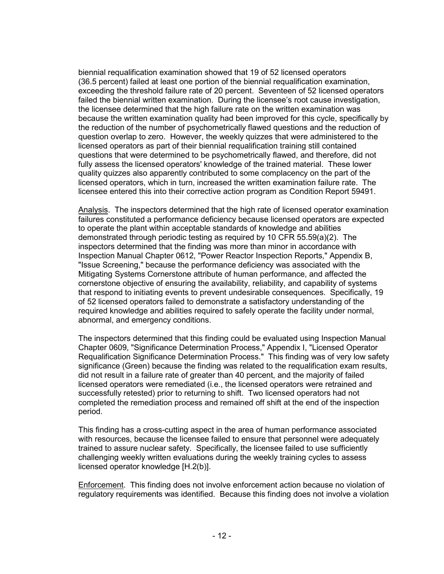biennial requalification examination showed that 19 of 52 licensed operators (36.5 percent) failed at least one portion of the biennial requalification examination, exceeding the threshold failure rate of 20 percent. Seventeen of 52 licensed operators failed the biennial written examination. During the licensee's root cause investigation, the licensee determined that the high failure rate on the written examination was because the written examination quality had been improved for this cycle, specifically by the reduction of the number of psychometrically flawed questions and the reduction of question overlap to zero. However, the weekly quizzes that were administered to the licensed operators as part of their biennial requalification training still contained questions that were determined to be psychometrically flawed, and therefore, did not fully assess the licensed operators' knowledge of the trained material. These lower quality quizzes also apparently contributed to some complacency on the part of the licensed operators, which in turn, increased the written examination failure rate. The licensee entered this into their corrective action program as Condition Report 59491.

Analysis. The inspectors determined that the high rate of licensed operator examination failures constituted a performance deficiency because licensed operators are expected to operate the plant within acceptable standards of knowledge and abilities demonstrated through periodic testing as required by 10 CFR 55.59(a)(2). The inspectors determined that the finding was more than minor in accordance with Inspection Manual Chapter 0612, "Power Reactor Inspection Reports," Appendix B, "Issue Screening," because the performance deficiency was associated with the Mitigating Systems Cornerstone attribute of human performance, and affected the cornerstone objective of ensuring the availability, reliability, and capability of systems that respond to initiating events to prevent undesirable consequences. Specifically, 19 of 52 licensed operators failed to demonstrate a satisfactory understanding of the required knowledge and abilities required to safely operate the facility under normal, abnormal, and emergency conditions.

The inspectors determined that this finding could be evaluated using Inspection Manual Chapter 0609, "Significance Determination Process," Appendix I, "Licensed Operator Requalification Significance Determination Process." This finding was of very low safety significance (Green) because the finding was related to the requalification exam results, did not result in a failure rate of greater than 40 percent, and the majority of failed licensed operators were remediated (i.e., the licensed operators were retrained and successfully retested) prior to returning to shift. Two licensed operators had not completed the remediation process and remained off shift at the end of the inspection period.

This finding has a cross-cutting aspect in the area of human performance associated with resources, because the licensee failed to ensure that personnel were adequately trained to assure nuclear safety. Specifically, the licensee failed to use sufficiently challenging weekly written evaluations during the weekly training cycles to assess licensed operator knowledge [H.2(b)].

Enforcement. This finding does not involve enforcement action because no violation of regulatory requirements was identified. Because this finding does not involve a violation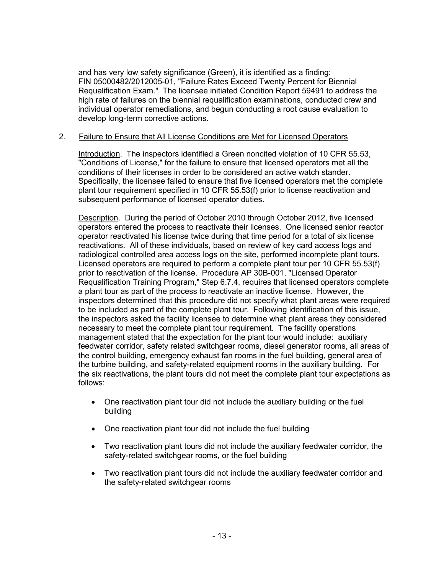and has very low safety significance (Green), it is identified as a finding: FIN 05000482/2012005-01, "Failure Rates Exceed Twenty Percent for Biennial Requalification Exam." The licensee initiated Condition Report 59491 to address the high rate of failures on the biennial requalification examinations, conducted crew and individual operator remediations, and begun conducting a root cause evaluation to develop long-term corrective actions.

### 2. Failure to Ensure that All License Conditions are Met for Licensed Operators

Introduction. The inspectors identified a Green noncited violation of 10 CFR 55.53, "Conditions of License," for the failure to ensure that licensed operators met all the conditions of their licenses in order to be considered an active watch stander. Specifically, the licensee failed to ensure that five licensed operators met the complete plant tour requirement specified in 10 CFR 55.53(f) prior to license reactivation and subsequent performance of licensed operator duties.

Description. During the period of October 2010 through October 2012, five licensed operators entered the process to reactivate their licenses. One licensed senior reactor operator reactivated his license twice during that time period for a total of six license reactivations. All of these individuals, based on review of key card access logs and radiological controlled area access logs on the site, performed incomplete plant tours. Licensed operators are required to perform a complete plant tour per 10 CFR 55.53(f) prior to reactivation of the license. Procedure AP 30B-001, "Licensed Operator Requalification Training Program," Step 6.7.4, requires that licensed operators complete a plant tour as part of the process to reactivate an inactive license. However, the inspectors determined that this procedure did not specify what plant areas were required to be included as part of the complete plant tour. Following identification of this issue, the inspectors asked the facility licensee to determine what plant areas they considered necessary to meet the complete plant tour requirement. The facility operations management stated that the expectation for the plant tour would include: auxiliary feedwater corridor, safety related switchgear rooms, diesel generator rooms, all areas of the control building, emergency exhaust fan rooms in the fuel building, general area of the turbine building, and safety-related equipment rooms in the auxiliary building. For the six reactivations, the plant tours did not meet the complete plant tour expectations as follows:

- One reactivation plant tour did not include the auxiliary building or the fuel building
- One reactivation plant tour did not include the fuel building
- Two reactivation plant tours did not include the auxiliary feedwater corridor, the safety-related switchgear rooms, or the fuel building
- Two reactivation plant tours did not include the auxiliary feedwater corridor and the safety-related switchgear rooms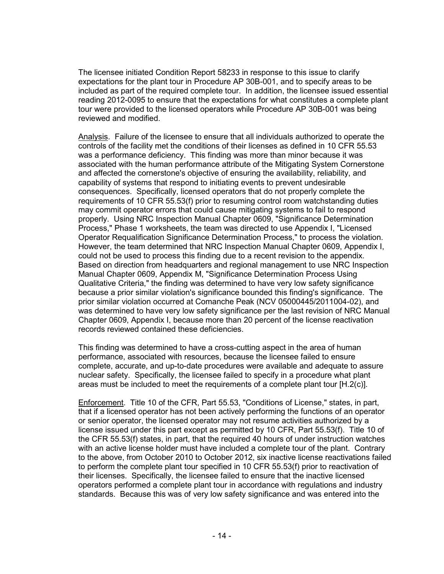The licensee initiated Condition Report 58233 in response to this issue to clarify expectations for the plant tour in Procedure AP 30B-001, and to specify areas to be included as part of the required complete tour. In addition, the licensee issued essential reading 2012-0095 to ensure that the expectations for what constitutes a complete plant tour were provided to the licensed operators while Procedure AP 30B-001 was being reviewed and modified.

Analysis. Failure of the licensee to ensure that all individuals authorized to operate the controls of the facility met the conditions of their licenses as defined in 10 CFR 55.53 was a performance deficiency. This finding was more than minor because it was associated with the human performance attribute of the Mitigating System Cornerstone and affected the cornerstone's objective of ensuring the availability, reliability, and capability of systems that respond to initiating events to prevent undesirable consequences. Specifically, licensed operators that do not properly complete the requirements of 10 CFR 55.53(f) prior to resuming control room watchstanding duties may commit operator errors that could cause mitigating systems to fail to respond properly. Using NRC Inspection Manual Chapter 0609, "Significance Determination Process," Phase 1 worksheets, the team was directed to use Appendix I, "Licensed Operator Requalification Significance Determination Process," to process the violation. However, the team determined that NRC Inspection Manual Chapter 0609, Appendix I, could not be used to process this finding due to a recent revision to the appendix. Based on direction from headquarters and regional management to use NRC Inspection Manual Chapter 0609, Appendix M, "Significance Determination Process Using Qualitative Criteria," the finding was determined to have very low safety significance because a prior similar violation's significance bounded this finding's significance. The prior similar violation occurred at Comanche Peak (NCV 05000445/2011004-02), and was determined to have very low safety significance per the last revision of NRC Manual Chapter 0609, Appendix I, because more than 20 percent of the license reactivation records reviewed contained these deficiencies.

This finding was determined to have a cross-cutting aspect in the area of human performance, associated with resources, because the licensee failed to ensure complete, accurate, and up-to-date procedures were available and adequate to assure nuclear safety. Specifically, the licensee failed to specify in a procedure what plant areas must be included to meet the requirements of a complete plant tour [H.2(c)].

Enforcement. Title 10 of the CFR, Part 55.53, "Conditions of License," states, in part, that if a licensed operator has not been actively performing the functions of an operator or senior operator, the licensed operator may not resume activities authorized by a license issued under this part except as permitted by 10 CFR, Part 55.53(f). Title 10 of the CFR 55.53(f) states, in part, that the required 40 hours of under instruction watches with an active license holder must have included a complete tour of the plant. Contrary to the above, from October 2010 to October 2012, six inactive license reactivations failed to perform the complete plant tour specified in 10 CFR 55.53(f) prior to reactivation of their licenses. Specifically, the licensee failed to ensure that the inactive licensed operators performed a complete plant tour in accordance with regulations and industry standards. Because this was of very low safety significance and was entered into the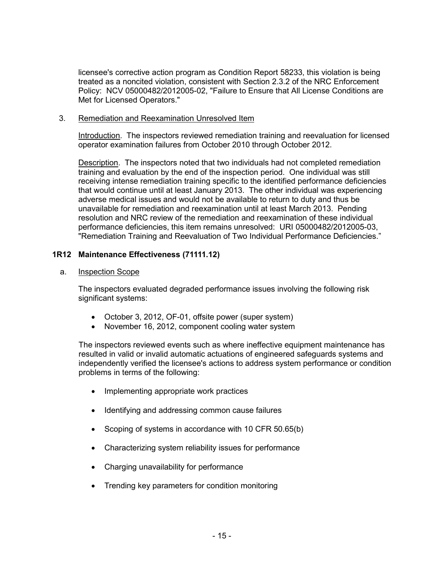licensee's corrective action program as Condition Report 58233, this violation is being treated as a noncited violation, consistent with Section 2.3.2 of the NRC Enforcement Policy: NCV 05000482/2012005-02, "Failure to Ensure that All License Conditions are Met for Licensed Operators."

#### 3. Remediation and Reexamination Unresolved Item

Introduction. The inspectors reviewed remediation training and reevaluation for licensed operator examination failures from October 2010 through October 2012.

Description. The inspectors noted that two individuals had not completed remediation training and evaluation by the end of the inspection period. One individual was still receiving intense remediation training specific to the identified performance deficiencies that would continue until at least January 2013. The other individual was experiencing adverse medical issues and would not be available to return to duty and thus be unavailable for remediation and reexamination until at least March 2013. Pending resolution and NRC review of the remediation and reexamination of these individual performance deficiencies, this item remains unresolved: URI 05000482/2012005-03, "Remediation Training and Reevaluation of Two Individual Performance Deficiencies."

#### **1R12 Maintenance Effectiveness (71111.12)**

#### a. Inspection Scope

The inspectors evaluated degraded performance issues involving the following risk significant systems:

- October 3, 2012, OF-01, offsite power (super system)
- November 16, 2012, component cooling water system

The inspectors reviewed events such as where ineffective equipment maintenance has resulted in valid or invalid automatic actuations of engineered safeguards systems and independently verified the licensee's actions to address system performance or condition problems in terms of the following:

- Implementing appropriate work practices
- Identifying and addressing common cause failures
- Scoping of systems in accordance with 10 CFR 50.65(b)
- Characterizing system reliability issues for performance
- Charging unavailability for performance
- Trending key parameters for condition monitoring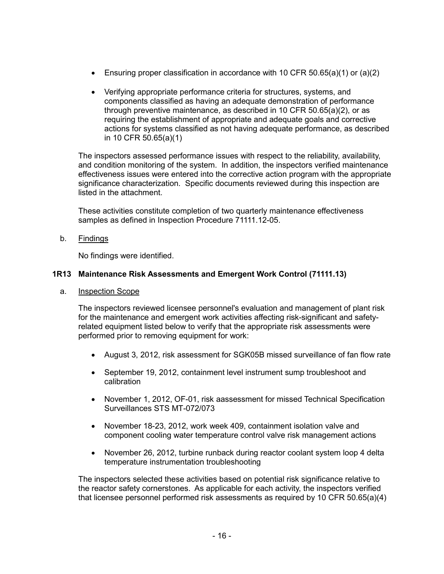- Ensuring proper classification in accordance with 10 CFR 50.65(a)(1) or (a)(2)
- Verifying appropriate performance criteria for structures, systems, and components classified as having an adequate demonstration of performance through preventive maintenance, as described in 10 CFR 50.65(a)(2), or as requiring the establishment of appropriate and adequate goals and corrective actions for systems classified as not having adequate performance, as described in 10 CFR 50.65(a)(1)

The inspectors assessed performance issues with respect to the reliability, availability, and condition monitoring of the system. In addition, the inspectors verified maintenance effectiveness issues were entered into the corrective action program with the appropriate significance characterization. Specific documents reviewed during this inspection are listed in the attachment.

These activities constitute completion of two quarterly maintenance effectiveness samples as defined in Inspection Procedure 71111.12-05.

b. Findings

No findings were identified.

# **1R13 Maintenance Risk Assessments and Emergent Work Control (71111.13)**

a. Inspection Scope

The inspectors reviewed licensee personnel's evaluation and management of plant risk for the maintenance and emergent work activities affecting risk-significant and safetyrelated equipment listed below to verify that the appropriate risk assessments were performed prior to removing equipment for work:

- August 3, 2012, risk assessment for SGK05B missed surveillance of fan flow rate
- September 19, 2012, containment level instrument sump troubleshoot and calibration
- November 1, 2012, OF-01, risk aassessment for missed Technical Specification Surveillances STS MT-072/073
- November 18-23, 2012, work week 409, containment isolation valve and component cooling water temperature control valve risk management actions
- November 26, 2012, turbine runback during reactor coolant system loop 4 delta temperature instrumentation troubleshooting

The inspectors selected these activities based on potential risk significance relative to the reactor safety cornerstones. As applicable for each activity, the inspectors verified that licensee personnel performed risk assessments as required by 10 CFR 50.65(a)(4)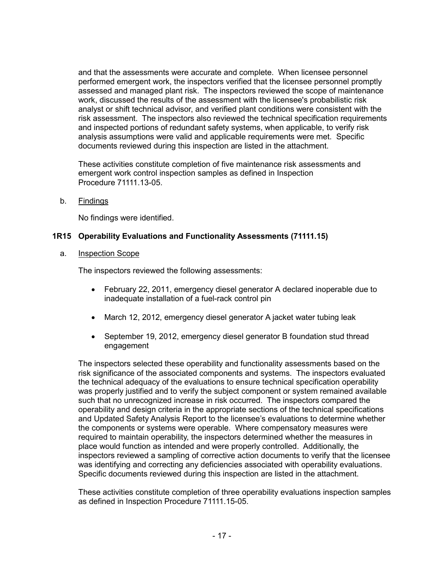and that the assessments were accurate and complete. When licensee personnel performed emergent work, the inspectors verified that the licensee personnel promptly assessed and managed plant risk. The inspectors reviewed the scope of maintenance work, discussed the results of the assessment with the licensee's probabilistic risk analyst or shift technical advisor, and verified plant conditions were consistent with the risk assessment. The inspectors also reviewed the technical specification requirements and inspected portions of redundant safety systems, when applicable, to verify risk analysis assumptions were valid and applicable requirements were met. Specific documents reviewed during this inspection are listed in the attachment.

These activities constitute completion of five maintenance risk assessments and emergent work control inspection samples as defined in Inspection Procedure 71111.13-05.

b. Findings

No findings were identified.

#### **1R15 Operability Evaluations and Functionality Assessments (71111.15)**

a. Inspection Scope

The inspectors reviewed the following assessments:

- February 22, 2011, emergency diesel generator A declared inoperable due to inadequate installation of a fuel-rack control pin
- March 12, 2012, emergency diesel generator A jacket water tubing leak
- September 19, 2012, emergency diesel generator B foundation stud thread engagement

The inspectors selected these operability and functionality assessments based on the risk significance of the associated components and systems. The inspectors evaluated the technical adequacy of the evaluations to ensure technical specification operability was properly justified and to verify the subject component or system remained available such that no unrecognized increase in risk occurred. The inspectors compared the operability and design criteria in the appropriate sections of the technical specifications and Updated Safety Analysis Report to the licensee's evaluations to determine whether the components or systems were operable. Where compensatory measures were required to maintain operability, the inspectors determined whether the measures in place would function as intended and were properly controlled. Additionally, the inspectors reviewed a sampling of corrective action documents to verify that the licensee was identifying and correcting any deficiencies associated with operability evaluations. Specific documents reviewed during this inspection are listed in the attachment.

These activities constitute completion of three operability evaluations inspection samples as defined in Inspection Procedure 71111.15-05.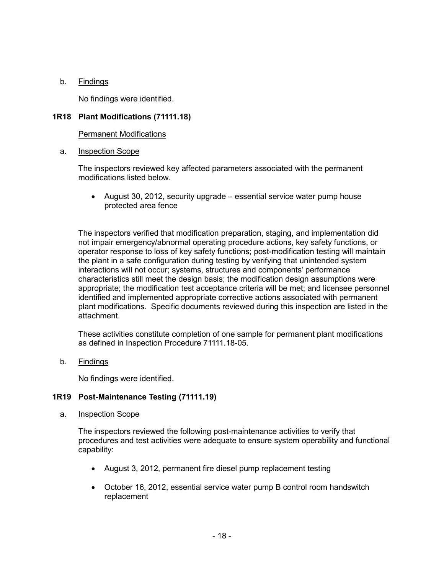#### b. Findings

No findings were identified.

### **1R18 Plant Modifications (71111.18)**

#### Permanent Modifications

#### a. Inspection Scope

The inspectors reviewed key affected parameters associated with the permanent modifications listed below.

• August 30, 2012, security upgrade – essential service water pump house protected area fence

The inspectors verified that modification preparation, staging, and implementation did not impair emergency/abnormal operating procedure actions, key safety functions, or operator response to loss of key safety functions; post-modification testing will maintain the plant in a safe configuration during testing by verifying that unintended system interactions will not occur; systems, structures and components' performance characteristics still meet the design basis; the modification design assumptions were appropriate; the modification test acceptance criteria will be met; and licensee personnel identified and implemented appropriate corrective actions associated with permanent plant modifications. Specific documents reviewed during this inspection are listed in the attachment.

These activities constitute completion of one sample for permanent plant modifications as defined in Inspection Procedure 71111.18-05.

b. Findings

No findings were identified.

#### **1R19 Post-Maintenance Testing (71111.19)**

a. Inspection Scope

The inspectors reviewed the following post-maintenance activities to verify that procedures and test activities were adequate to ensure system operability and functional capability:

- August 3, 2012, permanent fire diesel pump replacement testing
- October 16, 2012, essential service water pump B control room handswitch replacement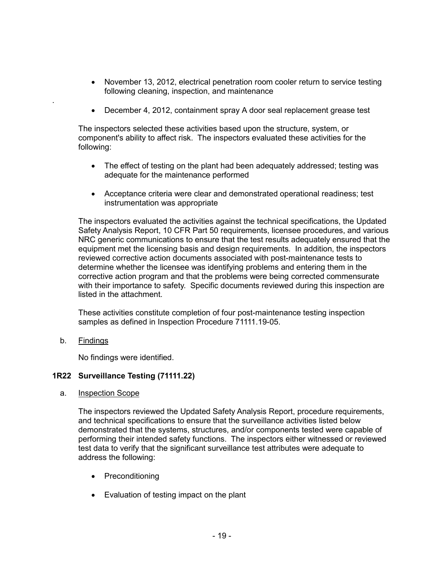- November 13, 2012, electrical penetration room cooler return to service testing following cleaning, inspection, and maintenance
- December 4, 2012, containment spray A door seal replacement grease test

The inspectors selected these activities based upon the structure, system, or component's ability to affect risk. The inspectors evaluated these activities for the following:

- The effect of testing on the plant had been adequately addressed; testing was adequate for the maintenance performed
- Acceptance criteria were clear and demonstrated operational readiness; test instrumentation was appropriate

The inspectors evaluated the activities against the technical specifications, the Updated Safety Analysis Report, 10 CFR Part 50 requirements, licensee procedures, and various NRC generic communications to ensure that the test results adequately ensured that the equipment met the licensing basis and design requirements. In addition, the inspectors reviewed corrective action documents associated with post-maintenance tests to determine whether the licensee was identifying problems and entering them in the corrective action program and that the problems were being corrected commensurate with their importance to safety. Specific documents reviewed during this inspection are listed in the attachment.

These activities constitute completion of four post-maintenance testing inspection samples as defined in Inspection Procedure 71111.19-05.

b. Findings

.

No findings were identified.

#### **1R22 Surveillance Testing (71111.22)**

a. Inspection Scope

The inspectors reviewed the Updated Safety Analysis Report, procedure requirements, and technical specifications to ensure that the surveillance activities listed below demonstrated that the systems, structures, and/or components tested were capable of performing their intended safety functions. The inspectors either witnessed or reviewed test data to verify that the significant surveillance test attributes were adequate to address the following:

- Preconditioning
- Evaluation of testing impact on the plant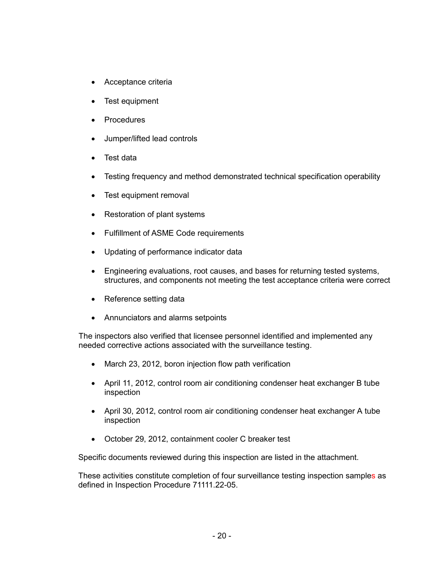- Acceptance criteria
- Test equipment
- **Procedures**
- Jumper/lifted lead controls
- Test data
- Testing frequency and method demonstrated technical specification operability
- Test equipment removal
- Restoration of plant systems
- Fulfillment of ASME Code requirements
- Updating of performance indicator data
- Engineering evaluations, root causes, and bases for returning tested systems, structures, and components not meeting the test acceptance criteria were correct
- Reference setting data
- Annunciators and alarms setpoints

The inspectors also verified that licensee personnel identified and implemented any needed corrective actions associated with the surveillance testing.

- March 23, 2012, boron injection flow path verification
- April 11, 2012, control room air conditioning condenser heat exchanger B tube inspection
- April 30, 2012, control room air conditioning condenser heat exchanger A tube inspection
- October 29, 2012, containment cooler C breaker test

Specific documents reviewed during this inspection are listed in the attachment.

These activities constitute completion of four surveillance testing inspection samples as defined in Inspection Procedure 71111.22-05.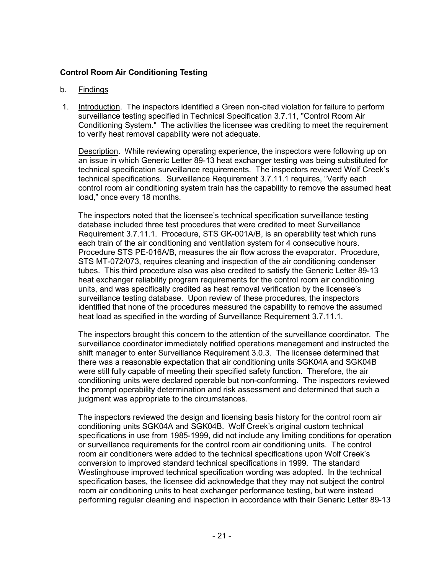### **Control Room Air Conditioning Testing**

#### b. Findings

1. Introduction. The inspectors identified a Green non-cited violation for failure to perform surveillance testing specified in Technical Specification 3.7.11, "Control Room Air Conditioning System." The activities the licensee was crediting to meet the requirement to verify heat removal capability were not adequate.

Description. While reviewing operating experience, the inspectors were following up on an issue in which Generic Letter 89-13 heat exchanger testing was being substituted for technical specification surveillance requirements. The inspectors reviewed Wolf Creek's technical specifications. Surveillance Requirement 3.7.11.1 requires, "Verify each control room air conditioning system train has the capability to remove the assumed heat load," once every 18 months.

The inspectors noted that the licensee's technical specification surveillance testing database included three test procedures that were credited to meet Surveillance Requirement 3.7.11.1. Procedure, STS GK-001A/B, is an operability test which runs each train of the air conditioning and ventilation system for 4 consecutive hours. Procedure STS PE-016A/B, measures the air flow across the evaporator. Procedure, STS MT-072/073, requires cleaning and inspection of the air conditioning condenser tubes. This third procedure also was also credited to satisfy the Generic Letter 89-13 heat exchanger reliability program requirements for the control room air conditioning units, and was specifically credited as heat removal verification by the licensee's surveillance testing database. Upon review of these procedures, the inspectors identified that none of the procedures measured the capability to remove the assumed heat load as specified in the wording of Surveillance Requirement 3.7.11.1.

The inspectors brought this concern to the attention of the surveillance coordinator. The surveillance coordinator immediately notified operations management and instructed the shift manager to enter Surveillance Requirement 3.0.3. The licensee determined that there was a reasonable expectation that air conditioning units SGK04A and SGK04B were still fully capable of meeting their specified safety function. Therefore, the air conditioning units were declared operable but non-conforming. The inspectors reviewed the prompt operability determination and risk assessment and determined that such a judgment was appropriate to the circumstances.

The inspectors reviewed the design and licensing basis history for the control room air conditioning units SGK04A and SGK04B. Wolf Creek's original custom technical specifications in use from 1985-1999, did not include any limiting conditions for operation or surveillance requirements for the control room air conditioning units. The control room air conditioners were added to the technical specifications upon Wolf Creek's conversion to improved standard technical specifications in 1999. The standard Westinghouse improved technical specification wording was adopted. In the technical specification bases, the licensee did acknowledge that they may not subject the control room air conditioning units to heat exchanger performance testing, but were instead performing regular cleaning and inspection in accordance with their Generic Letter 89-13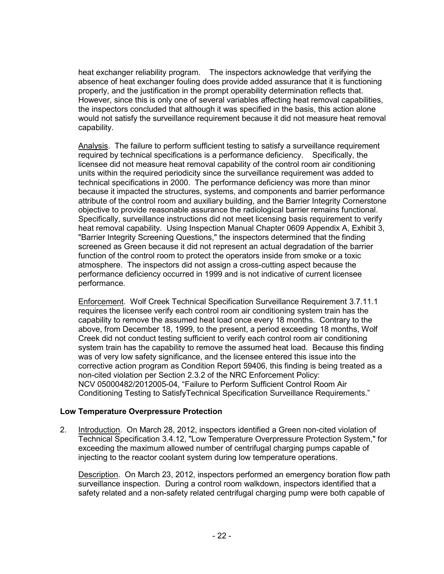heat exchanger reliability program. The inspectors acknowledge that verifying the absence of heat exchanger fouling does provide added assurance that it is functioning properly, and the justification in the prompt operability determination reflects that. However, since this is only one of several variables affecting heat removal capabilities, the inspectors concluded that although it was specified in the basis, this action alone would not satisfy the surveillance requirement because it did not measure heat removal capability.

Analysis. The failure to perform sufficient testing to satisfy a surveillance requirement required by technical specifications is a performance deficiency. Specifically, the licensee did not measure heat removal capability of the control room air conditioning units within the required periodicity since the surveillance requirement was added to technical specifications in 2000. The performance deficiency was more than minor because it impacted the structures, systems, and components and barrier performance attribute of the control room and auxiliary building, and the Barrier Integrity Cornerstone objective to provide reasonable assurance the radiological barrier remains functional. Specifically, surveillance instructions did not meet licensing basis requirement to verify heat removal capability. Using Inspection Manual Chapter 0609 Appendix A, Exhibit 3, "Barrier Integrity Screening Questions," the inspectors determined that the finding screened as Green because it did not represent an actual degradation of the barrier function of the control room to protect the operators inside from smoke or a toxic atmosphere. The inspectors did not assign a cross-cutting aspect because the performance deficiency occurred in 1999 and is not indicative of current licensee performance.

Enforcement. Wolf Creek Technical Specification Surveillance Requirement 3.7.11.1 requires the licensee verify each control room air conditioning system train has the capability to remove the assumed heat load once every 18 months. Contrary to the above, from December 18, 1999, to the present, a period exceeding 18 months, Wolf Creek did not conduct testing sufficient to verify each control room air conditioning system train has the capability to remove the assumed heat load. Because this finding was of very low safety significance, and the licensee entered this issue into the corrective action program as Condition Report 59406, this finding is being treated as a non-cited violation per Section 2.3.2 of the NRC Enforcement Policy: NCV 05000482/2012005-04, "Failure to Perform Sufficient Control Room Air Conditioning Testing to SatisfyTechnical Specification Surveillance Requirements."

# **Low Temperature Overpressure Protection**

2. Introduction. On March 28, 2012, inspectors identified a Green non-cited violation of Technical Specification 3.4.12, "Low Temperature Overpressure Protection System," for exceeding the maximum allowed number of centrifugal charging pumps capable of injecting to the reactor coolant system during low temperature operations.

Description. On March 23, 2012, inspectors performed an emergency boration flow path surveillance inspection. During a control room walkdown, inspectors identified that a safety related and a non-safety related centrifugal charging pump were both capable of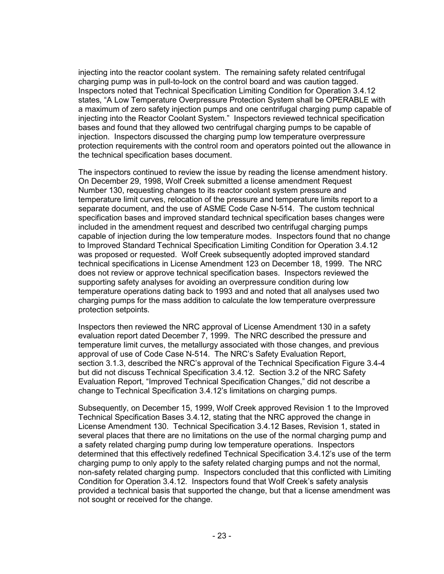injecting into the reactor coolant system. The remaining safety related centrifugal charging pump was in pull-to-lock on the control board and was caution tagged. Inspectors noted that Technical Specification Limiting Condition for Operation 3.4.12 states, "A Low Temperature Overpressure Protection System shall be OPERABLE with a maximum of zero safety injection pumps and one centrifugal charging pump capable of injecting into the Reactor Coolant System." Inspectors reviewed technical specification bases and found that they allowed two centrifugal charging pumps to be capable of injection. Inspectors discussed the charging pump low temperature overpressure protection requirements with the control room and operators pointed out the allowance in the technical specification bases document.

The inspectors continued to review the issue by reading the license amendment history. On December 29, 1998, Wolf Creek submitted a license amendment Request Number 130, requesting changes to its reactor coolant system pressure and temperature limit curves, relocation of the pressure and temperature limits report to a separate document, and the use of ASME Code Case N-514. The custom technical specification bases and improved standard technical specification bases changes were included in the amendment request and described two centrifugal charging pumps capable of injection during the low temperature modes. Inspectors found that no change to Improved Standard Technical Specification Limiting Condition for Operation 3.4.12 was proposed or requested. Wolf Creek subsequently adopted improved standard technical specifications in License Amendment 123 on December 18, 1999. The NRC does not review or approve technical specification bases. Inspectors reviewed the supporting safety analyses for avoiding an overpressure condition during low temperature operations dating back to 1993 and and noted that all analyses used two charging pumps for the mass addition to calculate the low temperature overpressure protection setpoints.

Inspectors then reviewed the NRC approval of License Amendment 130 in a safety evaluation report dated December 7, 1999. The NRC described the pressure and temperature limit curves, the metallurgy associated with those changes, and previous approval of use of Code Case N-514. The NRC's Safety Evaluation Report, section 3.1.3, described the NRC's approval of the Technical Specification Figure 3.4-4 but did not discuss Technical Specification 3.4.12. Section 3.2 of the NRC Safety Evaluation Report, "Improved Technical Specification Changes," did not describe a change to Technical Specification 3.4.12's limitations on charging pumps.

Subsequently, on December 15, 1999, Wolf Creek approved Revision 1 to the Improved Technical Specification Bases 3.4.12, stating that the NRC approved the change in License Amendment 130. Technical Specification 3.4.12 Bases, Revision 1, stated in several places that there are no limitations on the use of the normal charging pump and a safety related charging pump during low temperature operations. Inspectors determined that this effectively redefined Technical Specification 3.4.12's use of the term charging pump to only apply to the safety related charging pumps and not the normal, non-safety related charging pump. Inspectors concluded that this conflicted with Limiting Condition for Operation 3.4.12. Inspectors found that Wolf Creek's safety analysis provided a technical basis that supported the change, but that a license amendment was not sought or received for the change.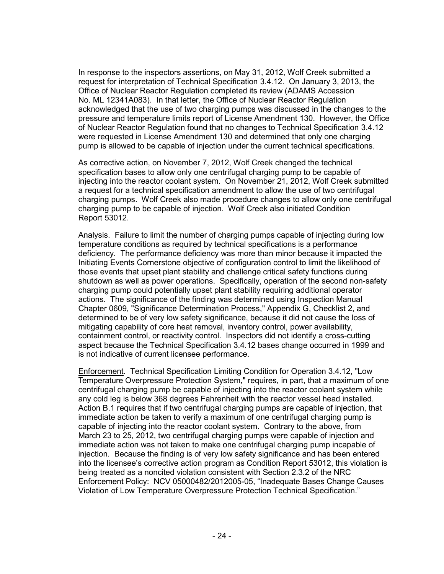In response to the inspectors assertions, on May 31, 2012, Wolf Creek submitted a request for interpretation of Technical Specification 3.4.12. On January 3, 2013, the Office of Nuclear Reactor Regulation completed its review (ADAMS Accession No. ML 12341A083). In that letter, the Office of Nuclear Reactor Regulation acknowledged that the use of two charging pumps was discussed in the changes to the pressure and temperature limits report of License Amendment 130. However, the Office of Nuclear Reactor Regulation found that no changes to Technical Specification 3.4.12 were requested in License Amendment 130 and determined that only one charging pump is allowed to be capable of injection under the current technical specifications.

As corrective action, on November 7, 2012, Wolf Creek changed the technical specification bases to allow only one centrifugal charging pump to be capable of injecting into the reactor coolant system. On November 21, 2012, Wolf Creek submitted a request for a technical specification amendment to allow the use of two centrifugal charging pumps. Wolf Creek also made procedure changes to allow only one centrifugal charging pump to be capable of injection. Wolf Creek also initiated Condition Report 53012.

Analysis. Failure to limit the number of charging pumps capable of injecting during low temperature conditions as required by technical specifications is a performance deficiency. The performance deficiency was more than minor because it impacted the Initiating Events Cornerstone objective of configuration control to limit the likelihood of those events that upset plant stability and challenge critical safety functions during shutdown as well as power operations. Specifically, operation of the second non-safety charging pump could potentially upset plant stability requiring additional operator actions. The significance of the finding was determined using Inspection Manual Chapter 0609, "Significance Determination Process," Appendix G, Checklist 2, and determined to be of very low safety significance, because it did not cause the loss of mitigating capability of core heat removal, inventory control, power availability, containment control, or reactivity control. Inspectors did not identify a cross-cutting aspect because the Technical Specification 3.4.12 bases change occurred in 1999 and is not indicative of current licensee performance.

Enforcement. Technical Specification Limiting Condition for Operation 3.4.12, "Low Temperature Overpressure Protection System," requires, in part, that a maximum of one centrifugal charging pump be capable of injecting into the reactor coolant system while any cold leg is below 368 degrees Fahrenheit with the reactor vessel head installed. Action B.1 requires that if two centrifugal charging pumps are capable of injection, that immediate action be taken to verify a maximum of one centrifugal charging pump is capable of injecting into the reactor coolant system. Contrary to the above, from March 23 to 25, 2012, two centrifugal charging pumps were capable of injection and immediate action was not taken to make one centrifugal charging pump incapable of injection. Because the finding is of very low safety significance and has been entered into the licensee's corrective action program as Condition Report 53012, this violation is being treated as a noncited violation consistent with Section 2.3.2 of the NRC Enforcement Policy: NCV 05000482/2012005-05, "Inadequate Bases Change Causes Violation of Low Temperature Overpressure Protection Technical Specification."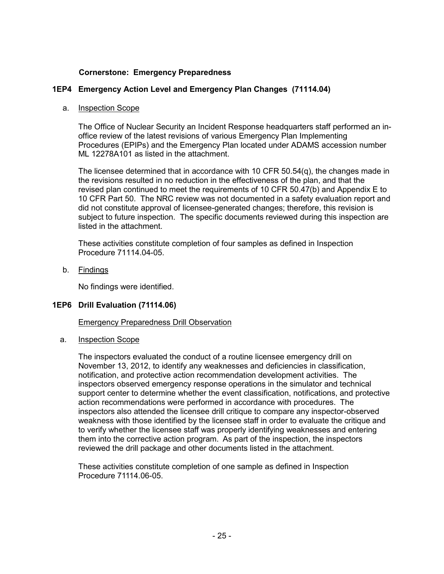#### **Cornerstone: Emergency Preparedness**

### **1EP4 Emergency Action Level and Emergency Plan Changes (71114.04)**

#### a. Inspection Scope

The Office of Nuclear Security an Incident Response headquarters staff performed an inoffice review of the latest revisions of various Emergency Plan Implementing Procedures (EPIPs) and the Emergency Plan located under ADAMS accession number ML 12278A101 as listed in the attachment.

The licensee determined that in accordance with 10 CFR 50.54(q), the changes made in the revisions resulted in no reduction in the effectiveness of the plan, and that the revised plan continued to meet the requirements of 10 CFR 50.47(b) and Appendix E to 10 CFR Part 50. The NRC review was not documented in a safety evaluation report and did not constitute approval of licensee-generated changes; therefore, this revision is subject to future inspection. The specific documents reviewed during this inspection are listed in the attachment.

These activities constitute completion of four samples as defined in Inspection Procedure 71114.04-05.

b. Findings

No findings were identified.

#### **1EP6 Drill Evaluation (71114.06)**

Emergency Preparedness Drill Observation

a. Inspection Scope

The inspectors evaluated the conduct of a routine licensee emergency drill on November 13, 2012, to identify any weaknesses and deficiencies in classification, notification, and protective action recommendation development activities. The inspectors observed emergency response operations in the simulator and technical support center to determine whether the event classification, notifications, and protective action recommendations were performed in accordance with procedures. The inspectors also attended the licensee drill critique to compare any inspector-observed weakness with those identified by the licensee staff in order to evaluate the critique and to verify whether the licensee staff was properly identifying weaknesses and entering them into the corrective action program. As part of the inspection, the inspectors reviewed the drill package and other documents listed in the attachment.

These activities constitute completion of one sample as defined in Inspection Procedure 71114.06-05.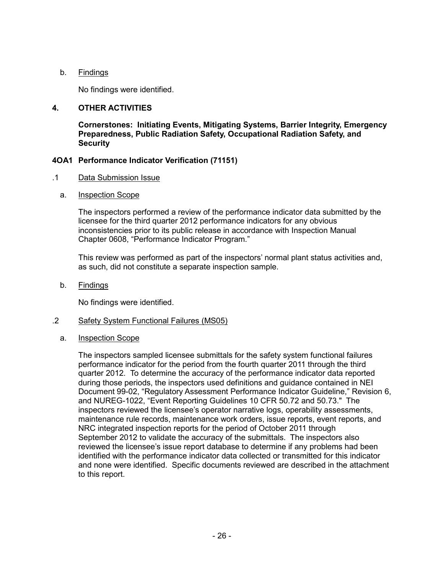#### b. Findings

No findings were identified.

#### **4. OTHER ACTIVITIES**

**Cornerstones: Initiating Events, Mitigating Systems, Barrier Integrity, Emergency Preparedness, Public Radiation Safety, Occupational Radiation Safety, and Security**

#### **4OA1 Performance Indicator Verification (71151)**

#### .1 Data Submission Issue

a. Inspection Scope

The inspectors performed a review of the performance indicator data submitted by the licensee for the third quarter 2012 performance indicators for any obvious inconsistencies prior to its public release in accordance with Inspection Manual Chapter 0608, "Performance Indicator Program."

This review was performed as part of the inspectors' normal plant status activities and, as such, did not constitute a separate inspection sample.

b. Findings

No findings were identified.

#### .2 Safety System Functional Failures (MS05)

a. Inspection Scope

The inspectors sampled licensee submittals for the safety system functional failures performance indicator for the period from the fourth quarter 2011 through the third quarter 2012. To determine the accuracy of the performance indicator data reported during those periods, the inspectors used definitions and guidance contained in NEI Document 99-02, "Regulatory Assessment Performance Indicator Guideline," Revision 6, and NUREG-1022, "Event Reporting Guidelines 10 CFR 50.72 and 50.73." The inspectors reviewed the licensee's operator narrative logs, operability assessments, maintenance rule records, maintenance work orders, issue reports, event reports, and NRC integrated inspection reports for the period of October 2011 through September 2012 to validate the accuracy of the submittals. The inspectors also reviewed the licensee's issue report database to determine if any problems had been identified with the performance indicator data collected or transmitted for this indicator and none were identified. Specific documents reviewed are described in the attachment to this report.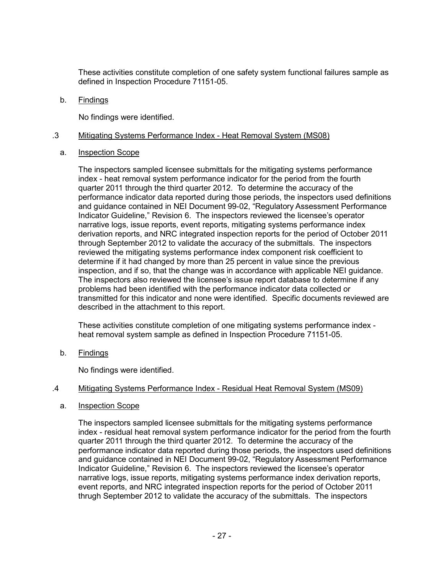These activities constitute completion of one safety system functional failures sample as defined in Inspection Procedure 71151-05.

b. Findings

No findings were identified.

#### .3 Mitigating Systems Performance Index - Heat Removal System (MS08)

#### a. Inspection Scope

The inspectors sampled licensee submittals for the mitigating systems performance index - heat removal system performance indicator for the period from the fourth quarter 2011 through the third quarter 2012. To determine the accuracy of the performance indicator data reported during those periods, the inspectors used definitions and guidance contained in NEI Document 99-02, "Regulatory Assessment Performance Indicator Guideline," Revision 6. The inspectors reviewed the licensee's operator narrative logs, issue reports, event reports, mitigating systems performance index derivation reports, and NRC integrated inspection reports for the period of October 2011 through September 2012 to validate the accuracy of the submittals. The inspectors reviewed the mitigating systems performance index component risk coefficient to determine if it had changed by more than 25 percent in value since the previous inspection, and if so, that the change was in accordance with applicable NEI guidance. The inspectors also reviewed the licensee's issue report database to determine if any problems had been identified with the performance indicator data collected or transmitted for this indicator and none were identified. Specific documents reviewed are described in the attachment to this report.

These activities constitute completion of one mitigating systems performance index heat removal system sample as defined in Inspection Procedure 71151-05.

b. Findings

No findings were identified.

#### .4 Mitigating Systems Performance Index - Residual Heat Removal System (MS09)

a. Inspection Scope

The inspectors sampled licensee submittals for the mitigating systems performance index - residual heat removal system performance indicator for the period from the fourth quarter 2011 through the third quarter 2012. To determine the accuracy of the performance indicator data reported during those periods, the inspectors used definitions and guidance contained in NEI Document 99-02, "Regulatory Assessment Performance Indicator Guideline," Revision 6. The inspectors reviewed the licensee's operator narrative logs, issue reports, mitigating systems performance index derivation reports, event reports, and NRC integrated inspection reports for the period of October 2011 thrugh September 2012 to validate the accuracy of the submittals. The inspectors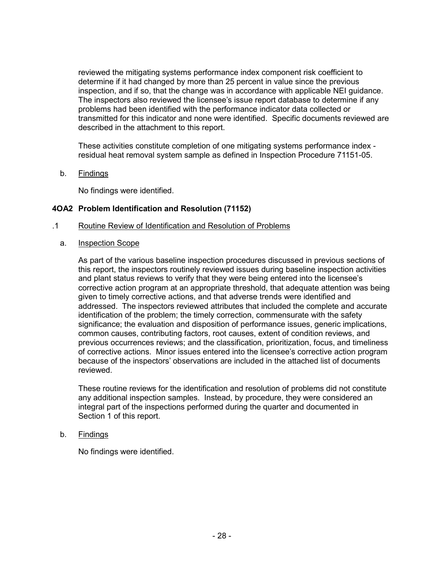reviewed the mitigating systems performance index component risk coefficient to determine if it had changed by more than 25 percent in value since the previous inspection, and if so, that the change was in accordance with applicable NEI guidance. The inspectors also reviewed the licensee's issue report database to determine if any problems had been identified with the performance indicator data collected or transmitted for this indicator and none were identified. Specific documents reviewed are described in the attachment to this report.

These activities constitute completion of one mitigating systems performance index residual heat removal system sample as defined in Inspection Procedure 71151-05.

b. Findings

No findings were identified.

#### **4OA2 Problem Identification and Resolution (71152)**

- .1 Routine Review of Identification and Resolution of Problems
	- a. Inspection Scope

As part of the various baseline inspection procedures discussed in previous sections of this report, the inspectors routinely reviewed issues during baseline inspection activities and plant status reviews to verify that they were being entered into the licensee's corrective action program at an appropriate threshold, that adequate attention was being given to timely corrective actions, and that adverse trends were identified and addressed. The inspectors reviewed attributes that included the complete and accurate identification of the problem; the timely correction, commensurate with the safety significance; the evaluation and disposition of performance issues, generic implications, common causes, contributing factors, root causes, extent of condition reviews, and previous occurrences reviews; and the classification, prioritization, focus, and timeliness of corrective actions. Minor issues entered into the licensee's corrective action program because of the inspectors' observations are included in the attached list of documents reviewed.

These routine reviews for the identification and resolution of problems did not constitute any additional inspection samples. Instead, by procedure, they were considered an integral part of the inspections performed during the quarter and documented in Section 1 of this report.

b. Findings

No findings were identified.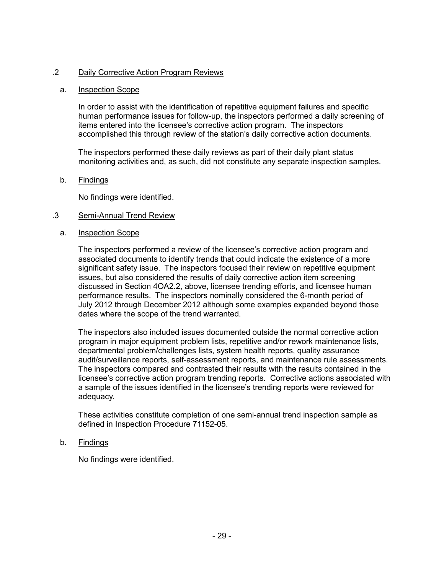#### .2 Daily Corrective Action Program Reviews

#### a. Inspection Scope

In order to assist with the identification of repetitive equipment failures and specific human performance issues for follow-up, the inspectors performed a daily screening of items entered into the licensee's corrective action program. The inspectors accomplished this through review of the station's daily corrective action documents.

The inspectors performed these daily reviews as part of their daily plant status monitoring activities and, as such, did not constitute any separate inspection samples.

#### b. Findings

No findings were identified.

#### .3 Semi-Annual Trend Review

#### a. Inspection Scope

The inspectors performed a review of the licensee's corrective action program and associated documents to identify trends that could indicate the existence of a more significant safety issue. The inspectors focused their review on repetitive equipment issues, but also considered the results of daily corrective action item screening discussed in Section 4OA2.2, above, licensee trending efforts, and licensee human performance results. The inspectors nominally considered the 6-month period of July 2012 through December 2012 although some examples expanded beyond those dates where the scope of the trend warranted.

The inspectors also included issues documented outside the normal corrective action program in major equipment problem lists, repetitive and/or rework maintenance lists, departmental problem/challenges lists, system health reports, quality assurance audit/surveillance reports, self-assessment reports, and maintenance rule assessments. The inspectors compared and contrasted their results with the results contained in the licensee's corrective action program trending reports. Corrective actions associated with a sample of the issues identified in the licensee's trending reports were reviewed for adequacy.

These activities constitute completion of one semi-annual trend inspection sample as defined in Inspection Procedure 71152-05.

#### b. Findings

No findings were identified.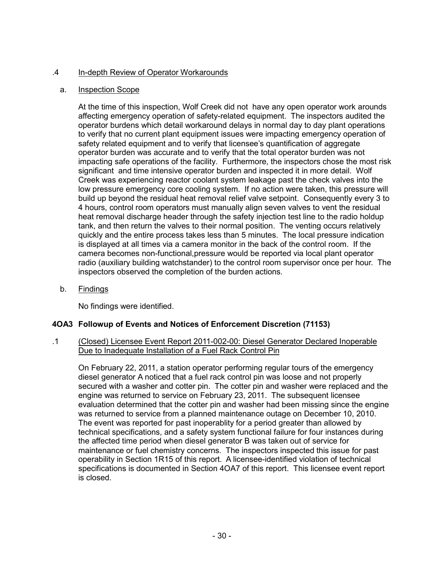### .4 In-depth Review of Operator Workarounds

#### a. Inspection Scope

At the time of this inspection, Wolf Creek did not have any open operator work arounds affecting emergency operation of safety-related equipment. The inspectors audited the operator burdens which detail workaround delays in normal day to day plant operations to verify that no current plant equipment issues were impacting emergency operation of safety related equipment and to verify that licensee's quantification of aggregate operator burden was accurate and to verify that the total operator burden was not impacting safe operations of the facility. Furthermore, the inspectors chose the most risk significant and time intensive operator burden and inspected it in more detail. Wolf Creek was experiencing reactor coolant system leakage past the check valves into the low pressure emergency core cooling system. If no action were taken, this pressure will build up beyond the residual heat removal relief valve setpoint. Consequently every 3 to 4 hours, control room operators must manually align seven valves to vent the residual heat removal discharge header through the safety injection test line to the radio holdup tank, and then return the valves to their normal position. The venting occurs relatively quickly and the entire process takes less than 5 minutes. The local pressure indication is displayed at all times via a camera monitor in the back of the control room. If the camera becomes non-functional,pressure would be reported via local plant operator radio (auxiliary building watchstander) to the control room supervisor once per hour. The inspectors observed the completion of the burden actions.

b. Findings

No findings were identified.

# **4OA3 Followup of Events and Notices of Enforcement Discretion (71153)**

.1 (Closed) Licensee Event Report 2011-002-00: Diesel Generator Declared Inoperable Due to Inadequate Installation of a Fuel Rack Control Pin

On February 22, 2011, a station operator performing regular tours of the emergency diesel generator A noticed that a fuel rack control pin was loose and not properly secured with a washer and cotter pin. The cotter pin and washer were replaced and the engine was returned to service on February 23, 2011. The subsequent licensee evaluation determined that the cotter pin and washer had been missing since the engine was returned to service from a planned maintenance outage on December 10, 2010. The event was reported for past inoperablity for a period greater than allowed by technical specifications, and a safety system functional failure for four instances during the affected time period when diesel generator B was taken out of service for maintenance or fuel chemistry concerns. The inspectors inspected this issue for past operability in Section 1R15 of this report. A licensee-identified violation of technical specifications is documented in Section 4OA7 of this report. This licensee event report is closed.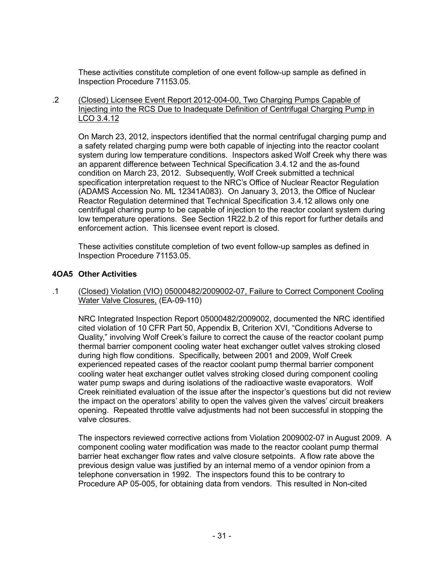These activities constitute completion of one event follow-up sample as defined in Inspection Procedure 71153.05.

.2 (Closed) Licensee Event Report 2012-004-00, Two Charging Pumps Capable of Injecting into the RCS Due to Inadequate Definition of Centrifugal Charging Pump in LCO 3.4.12

On March 23, 2012, inspectors identified that the normal centrifugal charging pump and a safety related charging pump were both capable of injecting into the reactor coolant system during low temperature conditions. Inspectors asked Wolf Creek why there was an apparent difference between Technical Specification 3.4.12 and the as-found condition on March 23, 2012. Subsequently, Wolf Creek submitted a technical specification interpretation request to the NRC's Office of Nuclear Reactor Regulation (ADAMS Accession No. ML 12341A083). On January 3, 2013, the Office of Nuclear Reactor Regulation determined that Technical Specification 3.4.12 allows only one centrifugal charing pump to be capable of injection to the reactor coolant system during low temperature operations. See Section 1R22.b.2 of this report for further details and enforcement action. This licensee event report is closed.

These activities constitute completion of two event follow-up samples as defined in Inspection Procedure 71153.05.

#### **4OA5 Other Activities**

.1 (Closed) Violation (VIO) 05000482/2009002-07, Failure to Correct Component Cooling Water Valve Closures, (EA-09-110)

NRC Integrated Inspection Report 05000482/2009002, documented the NRC identified cited violation of 10 CFR Part 50, Appendix B, Criterion XVI, "Conditions Adverse to Quality," involving Wolf Creek's failure to correct the cause of the reactor coolant pump thermal barrier component cooling water heat exchanger outlet valves stroking closed during high flow conditions. Specifically, between 2001 and 2009, Wolf Creek experienced repeated cases of the reactor coolant pump thermal barrier component cooling water heat exchanger outlet valves stroking closed during component cooling water pump swaps and during isolations of the radioactive waste evaporators. Wolf Creek reinitiated evaluation of the issue after the inspector's questions but did not review the impact on the operators' ability to open the valves given the valves' circuit breakers opening. Repeated throttle valve adjustments had not been successful in stopping the valve closures.

The inspectors reviewed corrective actions from Violation 2009002-07 in August 2009. A component cooling water modification was made to the reactor coolant pump thermal barrier heat exchanger flow rates and valve closure setpoints. A flow rate above the previous design value was justified by an internal memo of a vendor opinion from a telephone conversation in 1992. The inspectors found this to be contrary to Procedure AP 05-005, for obtaining data from vendors. This resulted in Non-cited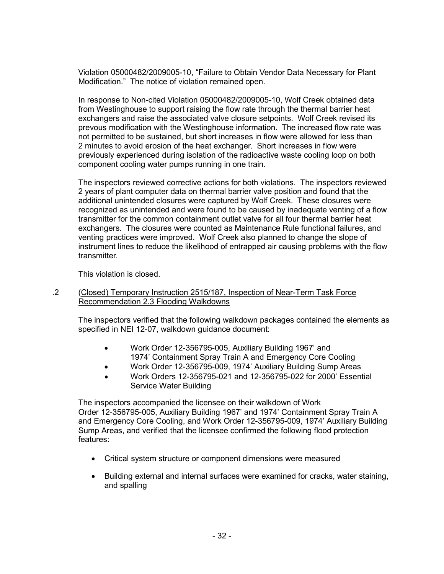Violation 05000482/2009005-10, "Failure to Obtain Vendor Data Necessary for Plant Modification." The notice of violation remained open.

In response to Non-cited Violation 05000482/2009005-10, Wolf Creek obtained data from Westinghouse to support raising the flow rate through the thermal barrier heat exchangers and raise the associated valve closure setpoints. Wolf Creek revised its prevous modification with the Westinghouse information. The increased flow rate was not permitted to be sustained, but short increases in flow were allowed for less than 2 minutes to avoid erosion of the heat exchanger. Short increases in flow were previously experienced during isolation of the radioactive waste cooling loop on both component cooling water pumps running in one train.

The inspectors reviewed corrective actions for both violations. The inspectors reviewed 2 years of plant computer data on thermal barrier valve position and found that the additional unintended closures were captured by Wolf Creek. These closures were recognized as unintended and were found to be caused by inadequate venting of a flow transmitter for the common containment outlet valve for all four thermal barrier heat exchangers. The closures were counted as Maintenance Rule functional failures, and venting practices were improved. Wolf Creek also planned to change the slope of instrument lines to reduce the likelihood of entrapped air causing problems with the flow transmitter.

This violation is closed.

#### .2 (Closed) Temporary Instruction 2515/187, Inspection of Near-Term Task Force Recommendation 2.3 Flooding Walkdowns

The inspectors verified that the following walkdown packages contained the elements as specified in NEI 12-07, walkdown guidance document:

- Work Order 12-356795-005, Auxiliary Building 1967' and 1974' Containment Spray Train A and Emergency Core Cooling
	- Work Order 12-356795-009, 1974' Auxiliary Building Sump Areas
- Work Orders 12-356795-021 and 12-356795-022 for 2000' Essential Service Water Building

The inspectors accompanied the licensee on their walkdown of Work Order 12-356795-005, Auxiliary Building 1967' and 1974' Containment Spray Train A and Emergency Core Cooling, and Work Order 12-356795-009, 1974' Auxiliary Building Sump Areas, and verified that the licensee confirmed the following flood protection features:

- Critical system structure or component dimensions were measured
- Building external and internal surfaces were examined for cracks, water staining, and spalling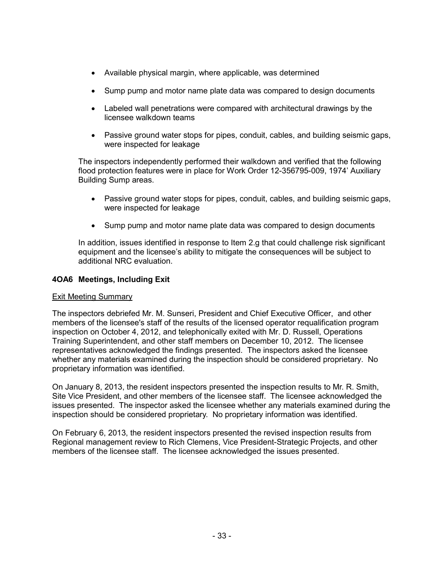- Available physical margin, where applicable, was determined
- Sump pump and motor name plate data was compared to design documents
- Labeled wall penetrations were compared with architectural drawings by the licensee walkdown teams
- Passive ground water stops for pipes, conduit, cables, and building seismic gaps, were inspected for leakage

The inspectors independently performed their walkdown and verified that the following flood protection features were in place for Work Order 12-356795-009, 1974' Auxiliary Building Sump areas.

- Passive ground water stops for pipes, conduit, cables, and building seismic gaps, were inspected for leakage
- Sump pump and motor name plate data was compared to design documents

In addition, issues identified in response to Item 2.g that could challenge risk significant equipment and the licensee's ability to mitigate the consequences will be subject to additional NRC evaluation.

### **4OA6 Meetings, Including Exit**

#### Exit Meeting Summary

The inspectors debriefed Mr. M. Sunseri, President and Chief Executive Officer, and other members of the licensee's staff of the results of the licensed operator requalification program inspection on October 4, 2012, and telephonically exited with Mr. D. Russell, Operations Training Superintendent, and other staff members on December 10, 2012. The licensee representatives acknowledged the findings presented. The inspectors asked the licensee whether any materials examined during the inspection should be considered proprietary. No proprietary information was identified.

On January 8, 2013, the resident inspectors presented the inspection results to Mr. R. Smith, Site Vice President, and other members of the licensee staff. The licensee acknowledged the issues presented. The inspector asked the licensee whether any materials examined during the inspection should be considered proprietary. No proprietary information was identified.

On February 6, 2013, the resident inspectors presented the revised inspection results from Regional management review to Rich Clemens, Vice President-Strategic Projects, and other members of the licensee staff. The licensee acknowledged the issues presented.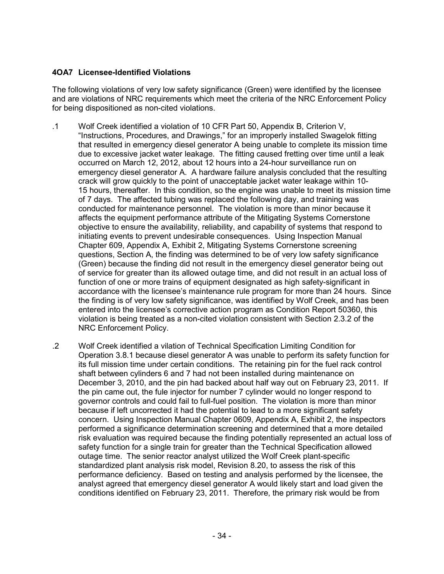## **4OA7 Licensee-Identified Violations**

The following violations of very low safety significance (Green) were identified by the licensee and are violations of NRC requirements which meet the criteria of the NRC Enforcement Policy for being dispositioned as non-cited violations.

- .1 Wolf Creek identified a violation of 10 CFR Part 50, Appendix B, Criterion V, "Instructions, Procedures, and Drawings," for an improperly installed Swagelok fitting that resulted in emergency diesel generator A being unable to complete its mission time due to excessive jacket water leakage. The fitting caused fretting over time until a leak occurred on March 12, 2012, about 12 hours into a 24-hour surveillance run on emergency diesel generator A. A hardware failure analysis concluded that the resulting crack will grow quickly to the point of unacceptable jacket water leakage within 10- 15 hours, thereafter. In this condition, so the engine was unable to meet its mission time of 7 days. The affected tubing was replaced the following day, and training was conducted for maintenance personnel. The violation is more than minor because it affects the equipment performance attribute of the Mitigating Systems Cornerstone objective to ensure the availability, reliability, and capability of systems that respond to initiating events to prevent undesirable consequences. Using Inspection Manual Chapter 609, Appendix A, Exhibit 2, Mitigating Systems Cornerstone screening questions, Section A, the finding was determined to be of very low safety significance (Green) because the finding did not result in the emergency diesel generator being out of service for greater than its allowed outage time, and did not result in an actual loss of function of one or more trains of equipment designated as high safety-significant in accordance with the licensee's maintenance rule program for more than 24 hours. Since the finding is of very low safety significance, was identified by Wolf Creek, and has been entered into the licensee's corrective action program as Condition Report 50360, this violation is being treated as a non-cited violation consistent with Section 2.3.2 of the NRC Enforcement Policy.
- .2 Wolf Creek identified a vilation of Technical Specification Limiting Condition for Operation 3.8.1 because diesel generator A was unable to perform its safety function for its full mission time under certain conditions. The retaining pin for the fuel rack control shaft between cylinders 6 and 7 had not been installed during maintenance on December 3, 2010, and the pin had backed about half way out on February 23, 2011. If the pin came out, the fule injector for number 7 cylinder would no longer respond to governor controls and could fail to full-fuel position. The violation is more than minor because if left uncorrected it had the potential to lead to a more significant safety concern. Using Inspection Manual Chapter 0609, Appendix A, Exhibit 2, the inspectors performed a significance determination screening and determined that a more detailed risk evaluation was required because the finding potentially represented an actual loss of safety function for a single train for greater than the Technical Specification allowed outage time. The senior reactor analyst utilized the Wolf Creek plant-specific standardized plant analysis risk model, Revision 8.20, to assess the risk of this performance deficiency. Based on testing and analysis performed by the licensee, the analyst agreed that emergency diesel generator A would likely start and load given the conditions identified on February 23, 2011. Therefore, the primary risk would be from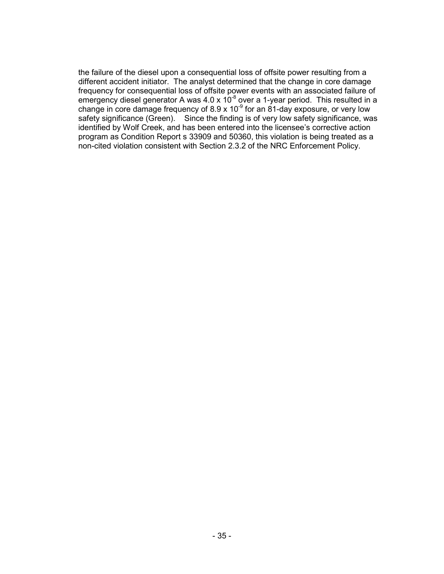the failure of the diesel upon a consequential loss of offsite power resulting from a different accident initiator. The analyst determined that the change in core damage frequency for consequential loss of offsite power events with an associated failure of emergency diesel generator A was 4.0 x 10<sup>-8</sup> over a 1-year period. This resulted in a change in core damage frequency of  $8.9 \times 10^{-9}$  for an  $81$ -day exposure, or very low safety significance (Green). Since the finding is of very low safety significance, was identified by Wolf Creek, and has been entered into the licensee's corrective action program as Condition Report s 33909 and 50360, this violation is being treated as a non-cited violation consistent with Section 2.3.2 of the NRC Enforcement Policy.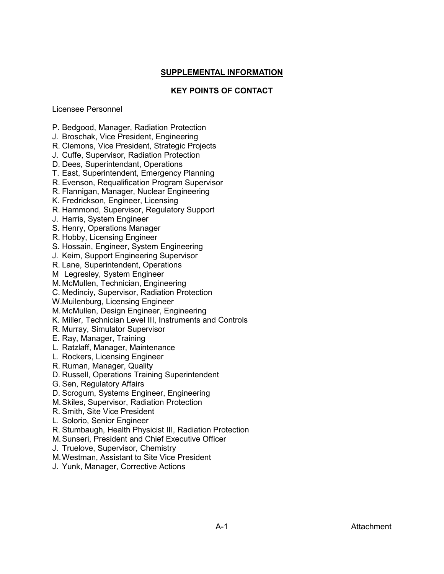#### **SUPPLEMENTAL INFORMATION**

#### **KEY POINTS OF CONTACT**

#### Licensee Personnel

- P. Bedgood, Manager, Radiation Protection
- J. Broschak, Vice President, Engineering
- R. Clemons, Vice President, Strategic Projects
- J. Cuffe, Supervisor, Radiation Protection
- D. Dees, Superintendant, Operations
- T. East, Superintendent, Emergency Planning
- R. Evenson, Requalification Program Supervisor
- R. Flannigan, Manager, Nuclear Engineering
- K. Fredrickson, Engineer, Licensing
- R. Hammond, Supervisor, Regulatory Support
- J. Harris, System Engineer
- S. Henry, Operations Manager
- R. Hobby, Licensing Engineer
- S. Hossain, Engineer, System Engineering
- J. Keim, Support Engineering Supervisor
- R. Lane, Superintendent, Operations
- M Legresley, System Engineer
- M.McMullen, Technician, Engineering
- C. Medinciy, Supervisor, Radiation Protection
- W.Muilenburg, Licensing Engineer
- M.McMullen, Design Engineer, Engineering
- K. Miller, Technician Level III, Instruments and Controls
- R. Murray, Simulator Supervisor
- E. Ray, Manager, Training
- L. Ratzlaff, Manager, Maintenance
- L. Rockers, Licensing Engineer
- R. Ruman, Manager, Quality
- D. Russell, Operations Training Superintendent
- G. Sen, Regulatory Affairs
- D. Scrogum, Systems Engineer, Engineering
- M.Skiles, Supervisor, Radiation Protection
- R. Smith, Site Vice President
- L. Solorio, Senior Engineer
- R. Stumbaugh, Health Physicist III, Radiation Protection
- M.Sunseri, President and Chief Executive Officer
- J. Truelove, Supervisor, Chemistry
- M.Westman, Assistant to Site Vice President
- J. Yunk, Manager, Corrective Actions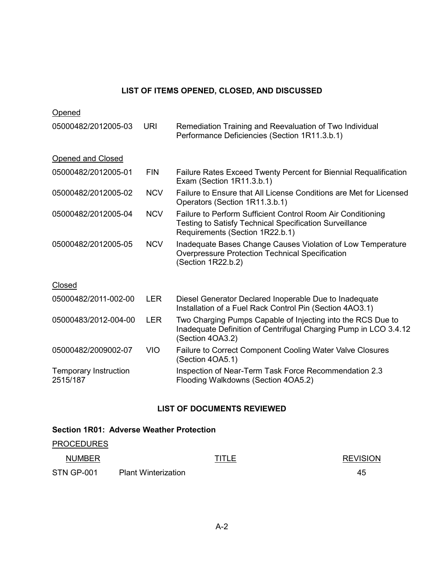### **LIST OF ITEMS OPENED, CLOSED, AND DISCUSSED**

| Opened                                   |            |                                                                                                                                                                  |
|------------------------------------------|------------|------------------------------------------------------------------------------------------------------------------------------------------------------------------|
| 05000482/2012005-03                      | <b>URI</b> | Remediation Training and Reevaluation of Two Individual<br>Performance Deficiencies (Section 1R11.3.b.1)                                                         |
| Opened and Closed                        |            |                                                                                                                                                                  |
| 05000482/2012005-01                      | <b>FIN</b> | Failure Rates Exceed Twenty Percent for Biennial Requalification<br>Exam (Section 1R11.3.b.1)                                                                    |
| 05000482/2012005-02                      | <b>NCV</b> | Failure to Ensure that All License Conditions are Met for Licensed<br>Operators (Section 1R11.3.b.1)                                                             |
| 05000482/2012005-04                      | <b>NCV</b> | Failure to Perform Sufficient Control Room Air Conditioning<br><b>Testing to Satisfy Technical Specification Surveillance</b><br>Requirements (Section 1R22.b.1) |
| 05000482/2012005-05                      | <b>NCV</b> | Inadequate Bases Change Causes Violation of Low Temperature<br><b>Overpressure Protection Technical Specification</b><br>(Section 1R22.b.2)                      |
| Closed                                   |            |                                                                                                                                                                  |
| 05000482/2011-002-00                     | <b>LER</b> | Diesel Generator Declared Inoperable Due to Inadequate<br>Installation of a Fuel Rack Control Pin (Section 4AO3.1)                                               |
| 05000483/2012-004-00                     | <b>LER</b> | Two Charging Pumps Capable of Injecting into the RCS Due to<br>Inadequate Definition of Centrifugal Charging Pump in LCO 3.4.12<br>(Section 4OA3.2)              |
| 05000482/2009002-07                      | <b>VIO</b> | Failure to Correct Component Cooling Water Valve Closures<br>(Section 4OA5.1)                                                                                    |
| <b>Temporary Instruction</b><br>2515/187 |            | Inspection of Near-Term Task Force Recommendation 2.3<br>Flooding Walkdowns (Section 4OA5.2)                                                                     |

## **LIST OF DOCUMENTS REVIEWED**

# **Section 1R01: Adverse Weather Protection**

# **PROCEDURES**

| <b>NUMBER</b>     |                            | <b>TITLE</b> | <b>REVISION</b> |
|-------------------|----------------------------|--------------|-----------------|
| <b>STN GP-001</b> | <b>Plant Winterization</b> |              | 45              |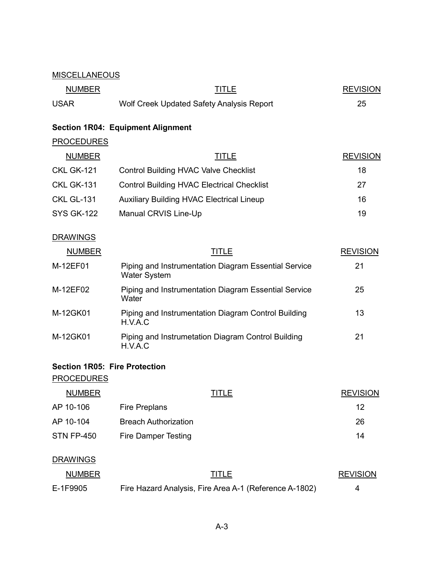### MISCELLANEOUS

| <b>NUMBER</b> | TITLE                                     | <b>REVISION</b> |
|---------------|-------------------------------------------|-----------------|
| <b>USAR</b>   | Wolf Creek Updated Safety Analysis Report |                 |

# **Section 1R04: Equipment Alignment**

# **PROCEDURES**

| <b>NUMBER</b>     | TITLE                                             | <b>REVISION</b> |
|-------------------|---------------------------------------------------|-----------------|
| <b>CKL GK-121</b> | <b>Control Building HVAC Valve Checklist</b>      | 18              |
| <b>CKL GK-131</b> | <b>Control Building HVAC Electrical Checklist</b> | 27              |
| <b>CKL GL-131</b> | <b>Auxiliary Building HVAC Electrical Lineup</b>  | 16              |
| <b>SYS GK-122</b> | Manual CRVIS Line-Up                              | 19              |

# **DRAWINGS**

| <b>NUMBER</b> | TITLE                                                                       | <b>REVISION</b> |
|---------------|-----------------------------------------------------------------------------|-----------------|
| M-12EF01      | Piping and Instrumentation Diagram Essential Service<br><b>Water System</b> | 21              |
| M-12EF02      | Piping and Instrumentation Diagram Essential Service<br>Water               | 25              |
| M-12GK01      | Piping and Instrumentation Diagram Control Building<br>H.V.A.C              | 13              |
| M-12GK01      | Piping and Instrumetation Diagram Control Building<br>H.V.A.C               | 21              |

#### **Section 1R05: Fire Protection**

**PROCEDURES** 

| <b>NUMBER</b> | TITLE                       | <b>REVISION</b> |
|---------------|-----------------------------|-----------------|
| AP 10-106     | Fire Preplans               | 12              |
| AP 10-104     | <b>Breach Authorization</b> | 26              |
| STN FP-450    | Fire Damper Testing         | 14              |

### **DRAWINGS**

| <b>NUMBER</b> | TITLE                                                  | <b>REVISION</b> |
|---------------|--------------------------------------------------------|-----------------|
| E-1F9905      | Fire Hazard Analysis, Fire Area A-1 (Reference A-1802) |                 |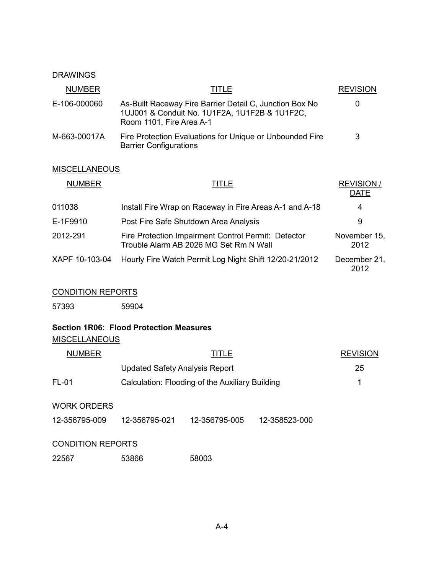## **DRAWINGS**

| <b>NUMBER</b> | TITLE                                                                                                                                | <b>REVISION</b> |
|---------------|--------------------------------------------------------------------------------------------------------------------------------------|-----------------|
| E-106-000060  | As-Built Raceway Fire Barrier Detail C, Junction Box No<br>1UJ001 & Conduit No. 1U1F2A, 1U1F2B & 1U1F2C,<br>Room 1101, Fire Area A-1 | 0               |
| M-663-00017A  | Fire Protection Evaluations for Unique or Unbounded Fire<br><b>Barrier Configurations</b>                                            | 3               |

# **MISCELLANEOUS**

| <b>NUMBER</b>  | TITLE                                                                                         | <b>REVISION/</b><br><b>DATE</b> |
|----------------|-----------------------------------------------------------------------------------------------|---------------------------------|
| 011038         | Install Fire Wrap on Raceway in Fire Areas A-1 and A-18                                       | 4                               |
| E-1F9910       | Post Fire Safe Shutdown Area Analysis                                                         | 9                               |
| 2012-291       | Fire Protection Impairment Control Permit: Detector<br>Trouble Alarm AB 2026 MG Set Rm N Wall | November 15,<br>2012            |
| XAPF 10-103-04 | Hourly Fire Watch Permit Log Night Shift 12/20-21/2012                                        | December 21,<br>2012            |

# CONDITION REPORTS

57393 59904

# **Section 1R06: Flood Protection Measures**

**MISCELLANEOUS** 

| <b>NUMBER</b>            | <b>TITLE</b>                                    |               | <b>REVISION</b> |    |
|--------------------------|-------------------------------------------------|---------------|-----------------|----|
|                          | <b>Updated Safety Analysis Report</b>           |               |                 | 25 |
| <b>FL-01</b>             | Calculation: Flooding of the Auxiliary Building |               |                 | 1  |
| <b>WORK ORDERS</b>       |                                                 |               |                 |    |
| 12-356795-009            | 12-356795-021                                   | 12-356795-005 | 12-358523-000   |    |
| <b>CONDITION REPORTS</b> |                                                 |               |                 |    |

22567 53866 58003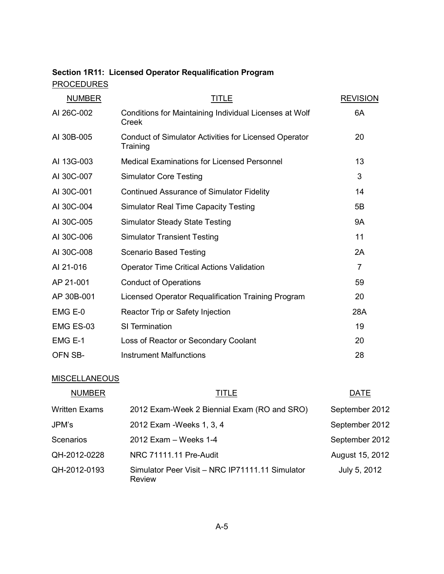|                   | Section 1R11: Licensed Operator Requalification Program |  |
|-------------------|---------------------------------------------------------|--|
| <b>PROCEDURES</b> |                                                         |  |

| <b>NUMBER</b> | <b>TITLE</b>                                                             | <b>REVISION</b> |
|---------------|--------------------------------------------------------------------------|-----------------|
| AI 26C-002    | Conditions for Maintaining Individual Licenses at Wolf<br>Creek          | 6A              |
| AI 30B-005    | <b>Conduct of Simulator Activities for Licensed Operator</b><br>Training | 20              |
| AI 13G-003    | <b>Medical Examinations for Licensed Personnel</b>                       | 13              |
| AI 30C-007    | <b>Simulator Core Testing</b>                                            | 3               |
| AI 30C-001    | <b>Continued Assurance of Simulator Fidelity</b>                         | 14              |
| AI 30C-004    | <b>Simulator Real Time Capacity Testing</b>                              | 5B              |
| AI 30C-005    | <b>Simulator Steady State Testing</b>                                    | <b>9A</b>       |
| AI 30C-006    | <b>Simulator Transient Testing</b>                                       | 11              |
| AI 30C-008    | <b>Scenario Based Testing</b>                                            | 2A              |
| AI 21-016     | <b>Operator Time Critical Actions Validation</b>                         | $\overline{7}$  |
| AP 21-001     | <b>Conduct of Operations</b>                                             | 59              |
| AP 30B-001    | Licensed Operator Requalification Training Program                       | 20              |
| EMG E-0       | Reactor Trip or Safety Injection                                         | 28A             |
| EMG ES-03     | SI Termination                                                           | 19              |
| EMG E-1       | Loss of Reactor or Secondary Coolant                                     | 20              |
| OFN SB-       | <b>Instrument Malfunctions</b>                                           | 28              |

# **MISCELLANEOUS**

| <b>NUMBER</b>        | <b>TITLE</b>                                                     | <b>DATE</b>     |
|----------------------|------------------------------------------------------------------|-----------------|
| <b>Written Exams</b> | 2012 Exam-Week 2 Biennial Exam (RO and SRO)                      | September 2012  |
| JPM's                | 2012 Exam - Weeks 1, 3, 4                                        | September 2012  |
| Scenarios            | 2012 Exam - Weeks 1-4                                            | September 2012  |
| QH-2012-0228         | NRC 71111.11 Pre-Audit                                           | August 15, 2012 |
| QH-2012-0193         | Simulator Peer Visit - NRC IP71111.11 Simulator<br><b>Review</b> | July 5, 2012    |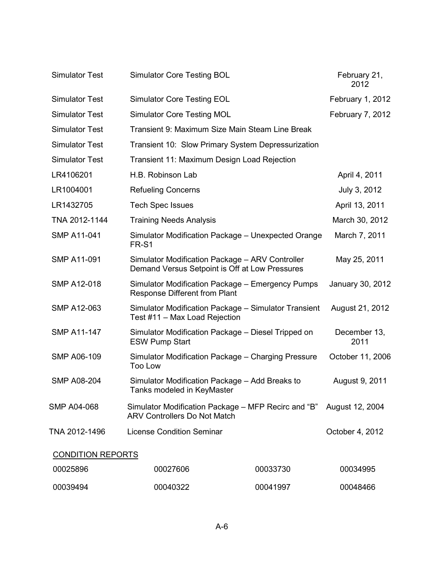| <b>Simulator Test</b>    | <b>Simulator Core Testing BOL</b>                                                                 |                                                    | February 21,<br>2012 |
|--------------------------|---------------------------------------------------------------------------------------------------|----------------------------------------------------|----------------------|
| <b>Simulator Test</b>    | <b>Simulator Core Testing EOL</b>                                                                 |                                                    | February 1, 2012     |
| <b>Simulator Test</b>    | <b>Simulator Core Testing MOL</b>                                                                 |                                                    | February 7, 2012     |
| <b>Simulator Test</b>    | Transient 9: Maximum Size Main Steam Line Break                                                   |                                                    |                      |
| <b>Simulator Test</b>    | Transient 10: Slow Primary System Depressurization                                                |                                                    |                      |
| <b>Simulator Test</b>    | Transient 11: Maximum Design Load Rejection                                                       |                                                    |                      |
| LR4106201                | H.B. Robinson Lab                                                                                 |                                                    | April 4, 2011        |
| LR1004001                | <b>Refueling Concerns</b>                                                                         |                                                    | July 3, 2012         |
| LR1432705                | <b>Tech Spec Issues</b>                                                                           |                                                    | April 13, 2011       |
| TNA 2012-1144            | <b>Training Needs Analysis</b>                                                                    |                                                    | March 30, 2012       |
| <b>SMP A11-041</b>       | FR-S1                                                                                             | Simulator Modification Package - Unexpected Orange | March 7, 2011        |
| <b>SMP A11-091</b>       | Simulator Modification Package - ARV Controller<br>Demand Versus Setpoint is Off at Low Pressures |                                                    | May 25, 2011         |
| <b>SMP A12-018</b>       | Simulator Modification Package - Emergency Pumps<br>Response Different from Plant                 |                                                    | January 30, 2012     |
| <b>SMP A12-063</b>       | Simulator Modification Package - Simulator Transient<br>Test #11 - Max Load Rejection             |                                                    | August 21, 2012      |
| <b>SMP A11-147</b>       | Simulator Modification Package – Diesel Tripped on<br><b>ESW Pump Start</b>                       |                                                    | December 13,<br>2011 |
| <b>SMP A06-109</b>       | Simulator Modification Package - Charging Pressure<br><b>Too Low</b>                              |                                                    | October 11, 2006     |
| <b>SMP A08-204</b>       | Simulator Modification Package - Add Breaks to<br>Tanks modeled in KeyMaster                      |                                                    | August 9, 2011       |
| SMP A04-068              | Simulator Modification Package – MFP Recirc and "B"<br><b>ARV Controllers Do Not Match</b>        |                                                    | August 12, 2004      |
| TNA 2012-1496            | <b>License Condition Seminar</b>                                                                  |                                                    | October 4, 2012      |
| <b>CONDITION REPORTS</b> |                                                                                                   |                                                    |                      |
| 00025896                 | 00027606                                                                                          | 00033730                                           | 00034995             |
| 00039494                 | 00040322                                                                                          | 00041997                                           | 00048466             |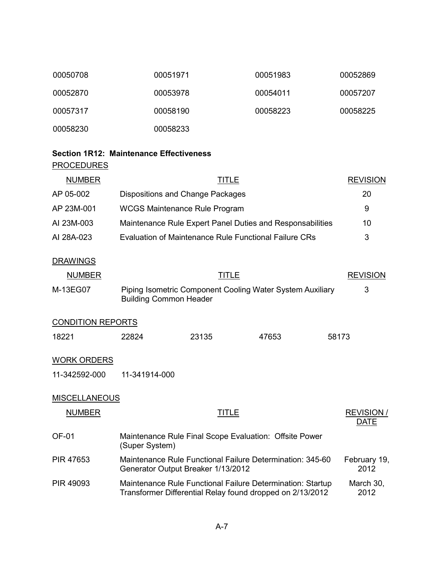| 00050708 | 00051971 | 00051983 | 00052869 |
|----------|----------|----------|----------|
| 00052870 | 00053978 | 00054011 | 00057207 |
| 00057317 | 00058190 | 00058223 | 00058225 |
| 00058230 | 00058233 |          |          |

# **Section 1R12: Maintenance Effectiveness PROCEDURES**

| <b>NUMBER</b> | TITLE                                                     | <b>REVISION</b> |
|---------------|-----------------------------------------------------------|-----------------|
| AP 05-002     | Dispositions and Change Packages                          | 20              |
| AP 23M-001    | <b>WCGS Maintenance Rule Program</b>                      | 9               |
| AI 23M-003    | Maintenance Rule Expert Panel Duties and Responsabilities | 10              |
| AI 28A-023    | Evaluation of Maintenance Rule Functional Failure CRs     | 3               |

# **DRAWINGS**

| <b>NUMBER</b> | TITLE                                                                                      | <b>REVISION</b> |
|---------------|--------------------------------------------------------------------------------------------|-----------------|
| M-13EG07      | Piping Isometric Component Cooling Water System Auxiliary<br><b>Building Common Header</b> |                 |

# CONDITION REPORTS

| 18221 | 22824 | 23135 | 47653 | 58173 |
|-------|-------|-------|-------|-------|
|       |       |       |       |       |

### WORK ORDERS

11-342592-000 11-341914-000

### **MISCELLANEOUS**

| <b>NUMBER</b> | <b>TITLE</b>                                                                                                            | <b>REVISION/</b><br><b>DATE</b> |
|---------------|-------------------------------------------------------------------------------------------------------------------------|---------------------------------|
| OF-01         | Maintenance Rule Final Scope Evaluation: Offsite Power<br>(Super System)                                                |                                 |
| PIR 47653     | Maintenance Rule Functional Failure Determination: 345-60<br>Generator Output Breaker 1/13/2012                         | February 19,<br>2012            |
| PIR 49093     | Maintenance Rule Functional Failure Determination: Startup<br>Transformer Differential Relay found dropped on 2/13/2012 | March 30,<br>2012               |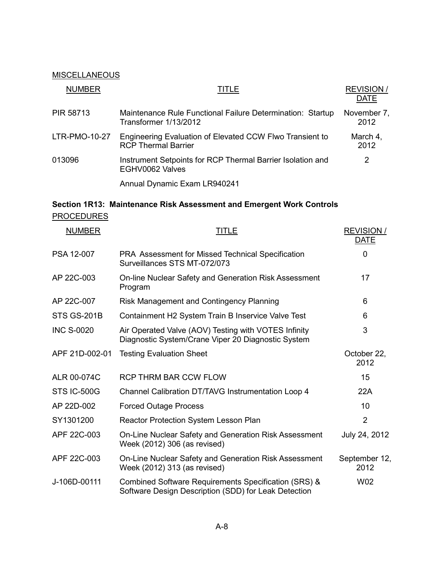# **MISCELLANEOUS**

| <b>NUMBER</b>    | TITLE                                                                                  | <b>REVISION/</b><br><b>DATE</b> |
|------------------|----------------------------------------------------------------------------------------|---------------------------------|
| <b>PIR 58713</b> | Maintenance Rule Functional Failure Determination: Startup<br>Transformer 1/13/2012    | November 7,<br>2012             |
| LTR-PMO-10-27    | Engineering Evaluation of Elevated CCW Flwo Transient to<br><b>RCP Thermal Barrier</b> | March 4,<br>2012                |
| 013096           | Instrument Setpoints for RCP Thermal Barrier Isolation and<br>EGHV0062 Valves          | 2                               |
|                  | Annual Dynamic Exam LR940241                                                           |                                 |

# **Section 1R13: Maintenance Risk Assessment and Emergent Work Controls PROCEDURES**

| <b>NUMBER</b>      | TITLE                                                                                                        | <b>REVISION/</b><br><b>DATE</b> |
|--------------------|--------------------------------------------------------------------------------------------------------------|---------------------------------|
| PSA 12-007         | PRA Assessment for Missed Technical Specification<br>Surveillances STS MT-072/073                            | $\overline{0}$                  |
| AP 22C-003         | On-line Nuclear Safety and Generation Risk Assessment<br>Program                                             | 17                              |
| AP 22C-007         | Risk Management and Contingency Planning                                                                     | 6                               |
| <b>STS GS-201B</b> | Containment H2 System Train B Inservice Valve Test                                                           | 6                               |
| <b>INC S-0020</b>  | Air Operated Valve (AOV) Testing with VOTES Infinity<br>Diagnostic System/Crane Viper 20 Diagnostic System   | 3                               |
| APF 21D-002-01     | <b>Testing Evaluation Sheet</b>                                                                              | October 22,<br>2012             |
| ALR 00-074C        | RCP THRM BAR CCW FLOW                                                                                        | 15                              |
| STS IC-500G        | Channel Calibration DT/TAVG Instrumentation Loop 4                                                           | 22A                             |
| AP 22D-002         | <b>Forced Outage Process</b>                                                                                 | 10                              |
| SY1301200          | Reactor Protection System Lesson Plan                                                                        | $\overline{2}$                  |
| APF 22C-003        | On-Line Nuclear Safety and Generation Risk Assessment<br>Week (2012) 306 (as revised)                        | July 24, 2012                   |
| APF 22C-003        | On-Line Nuclear Safety and Generation Risk Assessment<br>Week (2012) 313 (as revised)                        | September 12,<br>2012           |
| J-106D-00111       | Combined Software Requirements Specification (SRS) &<br>Software Design Description (SDD) for Leak Detection | W02                             |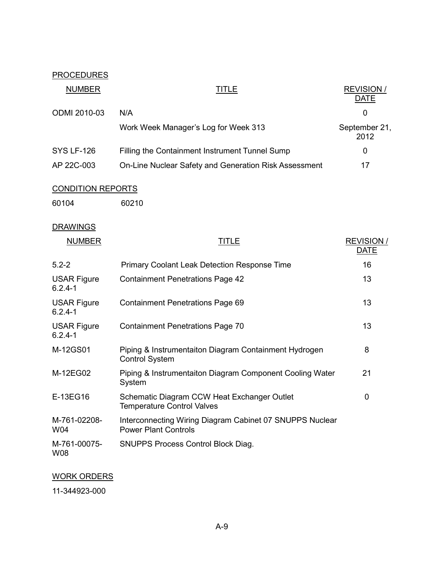# **PROCEDURES**

| <b>NUMBER</b>            | TITLE                                                 | <b>REVISION/</b><br><b>DATE</b> |
|--------------------------|-------------------------------------------------------|---------------------------------|
| <b>ODMI 2010-03</b>      | N/A                                                   | 0                               |
|                          | Work Week Manager's Log for Week 313                  | September 21,<br>2012           |
| <b>SYS LF-126</b>        | Filling the Containment Instrument Tunnel Sump        | 0                               |
| AP 22C-003               | On-Line Nuclear Safety and Generation Risk Assessment | 17                              |
| <b>CONDITION REPORTS</b> |                                                       |                                 |
| 60104                    | 60210                                                 |                                 |

# **DRAWINGS**

| <b>NUMBER</b>                     | TITLE                                                                                   | <b>REVISION/</b><br><b>DATE</b> |
|-----------------------------------|-----------------------------------------------------------------------------------------|---------------------------------|
| $5.2 - 2$                         | <b>Primary Coolant Leak Detection Response Time</b>                                     | 16                              |
| <b>USAR Figure</b><br>$6.2.4 - 1$ | <b>Containment Penetrations Page 42</b>                                                 | 13                              |
| <b>USAR Figure</b><br>$6.2.4 - 1$ | <b>Containment Penetrations Page 69</b>                                                 | 13                              |
| <b>USAR Figure</b><br>$6.2.4 - 1$ | <b>Containment Penetrations Page 70</b>                                                 | 13                              |
| M-12GS01                          | Piping & Instrumentaiton Diagram Containment Hydrogen<br><b>Control System</b>          | 8                               |
| M-12EG02                          | Piping & Instrumentaiton Diagram Component Cooling Water<br>System                      | 21                              |
| E-13EG16                          | Schematic Diagram CCW Heat Exchanger Outlet<br><b>Temperature Control Valves</b>        | 0                               |
| M-761-02208-<br>W04               | Interconnecting Wiring Diagram Cabinet 07 SNUPPS Nuclear<br><b>Power Plant Controls</b> |                                 |
| M-761-00075-<br>W08               | <b>SNUPPS Process Control Block Diag.</b>                                               |                                 |

# WORK ORDERS

11-344923-000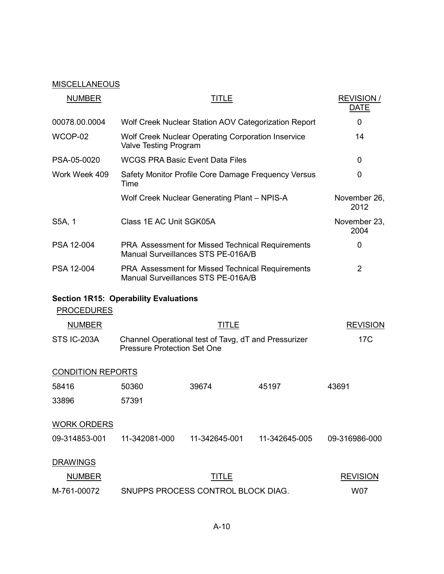# **MISCELLANEOUS**

| <b>NUMBER</b>            | <b>TITLE</b>                                                                               |               | <b>REVISION/</b><br><b>DATE</b> |                      |
|--------------------------|--------------------------------------------------------------------------------------------|---------------|---------------------------------|----------------------|
| 00078.00.0004            | Wolf Creek Nuclear Station AOV Categorization Report                                       |               |                                 | 0                    |
| WCOP-02                  | Wolf Creek Nuclear Operating Corporation Inservice<br>Valve Testing Program                |               |                                 | 14                   |
| PSA-05-0020              | <b>WCGS PRA Basic Event Data Files</b>                                                     |               |                                 | 0                    |
| Work Week 409            | Safety Monitor Profile Core Damage Frequency Versus<br>Time                                |               |                                 | 0                    |
|                          | Wolf Creek Nuclear Generating Plant - NPIS-A                                               |               |                                 | November 26,<br>2012 |
| S5A, 1                   | Class 1E AC Unit SGK05A                                                                    |               |                                 | November 23,<br>2004 |
| PSA 12-004               | PRA Assessment for Missed Technical Requirements<br>Manual Surveillances STS PE-016A/B     |               |                                 | $\mathbf 0$          |
| PSA 12-004               | PRA Assessment for Missed Technical Requirements<br>Manual Surveillances STS PE-016A/B     |               | $\overline{2}$                  |                      |
| <b>PROCEDURES</b>        | <b>Section 1R15: Operability Evaluations</b>                                               |               |                                 |                      |
| <b>NUMBER</b>            |                                                                                            | <b>TITLE</b>  |                                 | <b>REVISION</b>      |
| STS IC-203A              | Channel Operational test of Tavg, dT and Pressurizer<br><b>Pressure Protection Set One</b> |               |                                 | 17 <sub>C</sub>      |
| <b>CONDITION REPORTS</b> |                                                                                            |               |                                 |                      |
| 58416                    | 50360                                                                                      | 39674         | 45197                           | 43691                |
| 33896                    | 57391                                                                                      |               |                                 |                      |
| <b>WORK ORDERS</b>       |                                                                                            |               |                                 |                      |
| 09-314853-001            | 11-342081-000                                                                              | 11-342645-001 | 11-342645-005                   | 09-316986-000        |
| <b>DRAWINGS</b>          |                                                                                            |               |                                 |                      |
| <b>NUMBER</b>            |                                                                                            | <u>TITLE</u>  |                                 | <b>REVISION</b>      |
| M-761-00072              | SNUPPS PROCESS CONTROL BLOCK DIAG.                                                         |               |                                 | <b>W07</b>           |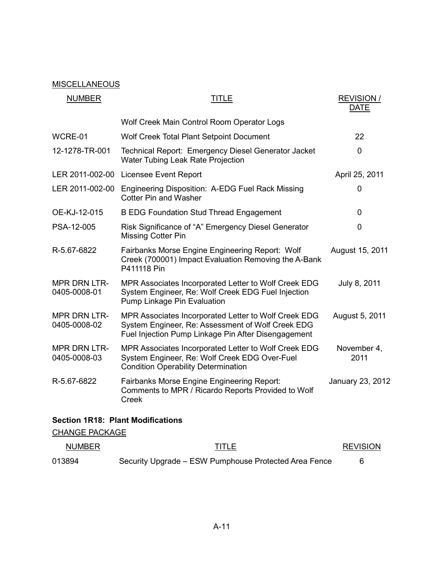# **MISCELLANEOUS**

| <b>NUMBER</b>                       | TITLE                                                                                                                                                            | <b>REVISION/</b><br><b>DATE</b> |
|-------------------------------------|------------------------------------------------------------------------------------------------------------------------------------------------------------------|---------------------------------|
|                                     | Wolf Creek Main Control Room Operator Logs                                                                                                                       |                                 |
| WCRE-01                             | Wolf Creek Total Plant Setpoint Document                                                                                                                         | 22                              |
| 12-1278-TR-001                      | Technical Report: Emergency Diesel Generator Jacket<br>Water Tubing Leak Rate Projection                                                                         | 0                               |
|                                     | LER 2011-002-00 Licensee Event Report                                                                                                                            | April 25, 2011                  |
| LER 2011-002-00                     | Engineering Disposition: A-EDG Fuel Rack Missing<br><b>Cotter Pin and Washer</b>                                                                                 | 0                               |
| OE-KJ-12-015                        | <b>B EDG Foundation Stud Thread Engagement</b>                                                                                                                   | 0                               |
| PSA-12-005                          | Risk Significance of "A" Emergency Diesel Generator<br>Missing Cotter Pin                                                                                        | 0                               |
| R-5.67-6822                         | Fairbanks Morse Engine Engineering Report: Wolf<br>Creek (700001) Impact Evaluation Removing the A-Bank<br>P411118 Pin                                           | August 15, 2011                 |
| <b>MPR DRN LTR-</b><br>0405-0008-01 | MPR Associates Incorporated Letter to Wolf Creek EDG<br>System Engineer, Re: Wolf Creek EDG Fuel Injection<br>Pump Linkage Pin Evaluation                        | July 8, 2011                    |
| <b>MPR DRN LTR-</b><br>0405-0008-02 | MPR Associates Incorporated Letter to Wolf Creek EDG<br>System Engineer, Re: Assessment of Wolf Creek EDG<br>Fuel Injection Pump Linkage Pin After Disengagement | August 5, 2011                  |
| <b>MPR DRN LTR-</b><br>0405-0008-03 | MPR Associates Incorporated Letter to Wolf Creek EDG<br>System Engineer, Re: Wolf Creek EDG Over-Fuel<br><b>Condition Operability Determination</b>              | November 4,<br>2011             |
| R-5.67-6822                         | <b>Fairbanks Morse Engine Engineering Report:</b><br>Comments to MPR / Ricardo Reports Provided to Wolf<br><b>Creek</b>                                          | January 23, 2012                |
|                                     |                                                                                                                                                                  |                                 |

# **Section 1R18: Plant Modifications**

CHANGE PACKAGE

| <b>NUMBER</b> | TITLE                                                 | <b>REVISION</b> |
|---------------|-------------------------------------------------------|-----------------|
| 013894        | Security Upgrade – ESW Pumphouse Protected Area Fence |                 |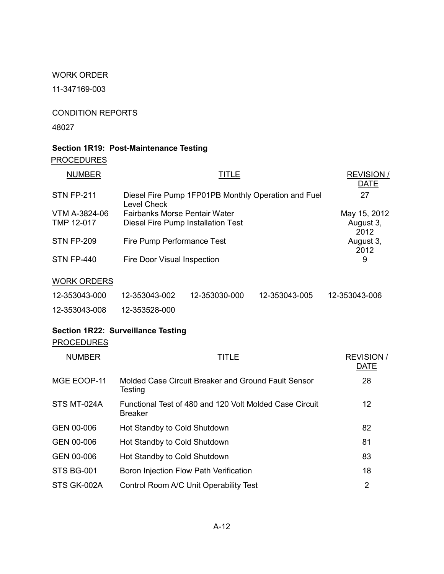### WORK ORDER

11-347169-003

# CONDITION REPORTS

48027

# **Section 1R19: Post-Maintenance Testing**

**PROCEDURES** 

| <b>NUMBER</b>      |                                                                    | TITLE         |               | <b>REVISION/</b><br><b>DATE</b> |
|--------------------|--------------------------------------------------------------------|---------------|---------------|---------------------------------|
| <b>STN FP-211</b>  | Diesel Fire Pump 1FP01PB Monthly Operation and Fuel<br>Level Check |               |               | 27                              |
| VTM A-3824-06      | Fairbanks Morse Pentair Water                                      |               |               | May 15, 2012                    |
| TMP 12-017         | Diesel Fire Pump Installation Test                                 |               |               | August 3,<br>2012               |
| <b>STN FP-209</b>  | Fire Pump Performance Test                                         |               |               | August 3,<br>2012               |
| <b>STN FP-440</b>  | Fire Door Visual Inspection                                        |               |               | 9                               |
| <b>WORK ORDERS</b> |                                                                    |               |               |                                 |
| 12-353043-000      | 12-353043-002                                                      | 12-353030-000 | 12-353043-005 | 12-353043-006                   |

12-353043-008 12-353528-000

# **Section 1R22: Surveillance Testing**

# **PROCEDURES**

| <b>NUMBER</b>     | TITLE                                                                     | <b>REVISION/</b><br><b>DATE</b> |
|-------------------|---------------------------------------------------------------------------|---------------------------------|
| MGE EOOP-11       | Molded Case Circuit Breaker and Ground Fault Sensor<br>Testing            | 28                              |
| STS MT-024A       | Functional Test of 480 and 120 Volt Molded Case Circuit<br><b>Breaker</b> | 12                              |
| GEN 00-006        | Hot Standby to Cold Shutdown                                              | 82                              |
| GEN 00-006        | Hot Standby to Cold Shutdown                                              | 81                              |
| GEN 00-006        | Hot Standby to Cold Shutdown                                              | 83                              |
| <b>STS BG-001</b> | Boron Injection Flow Path Verification                                    | 18                              |
| STS GK-002A       | Control Room A/C Unit Operability Test                                    | 2                               |
|                   |                                                                           |                                 |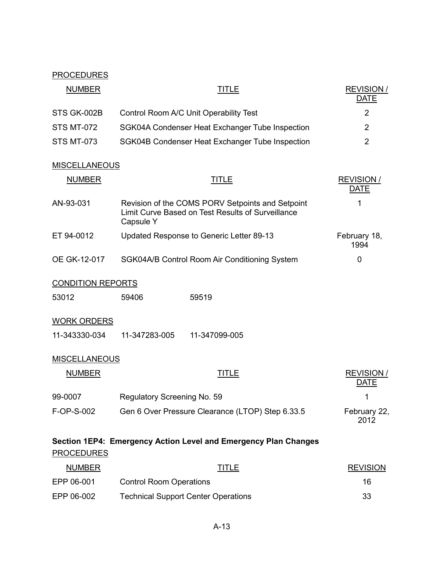# **PROCEDURES**

| <b>NUMBER</b>            | TITLE                                                                                                              | <b>REVISION/</b><br><b>DATE</b> |
|--------------------------|--------------------------------------------------------------------------------------------------------------------|---------------------------------|
| STS GK-002B              | Control Room A/C Unit Operability Test                                                                             | $\overline{2}$                  |
| <b>STS MT-072</b>        | SGK04A Condenser Heat Exchanger Tube Inspection                                                                    | $\overline{2}$                  |
| <b>STS MT-073</b>        | SGK04B Condenser Heat Exchanger Tube Inspection                                                                    | $\overline{2}$                  |
| <b>MISCELLANEOUS</b>     |                                                                                                                    |                                 |
| <b>NUMBER</b>            | <b>TITLE</b>                                                                                                       | <b>REVISION/</b><br><b>DATE</b> |
| AN-93-031                | Revision of the COMS PORV Setpoints and Setpoint<br>Limit Curve Based on Test Results of Surveillance<br>Capsule Y | 1                               |
| ET 94-0012               | Updated Response to Generic Letter 89-13                                                                           | February 18,<br>1994            |
| OE GK-12-017             | SGK04A/B Control Room Air Conditioning System                                                                      | 0                               |
| <b>CONDITION REPORTS</b> |                                                                                                                    |                                 |
| 53012                    | 59406<br>59519                                                                                                     |                                 |
| <b>WORK ORDERS</b>       |                                                                                                                    |                                 |
| 11-343330-034            | 11-347283-005<br>11-347099-005                                                                                     |                                 |
| <b>MISCELLANEOUS</b>     |                                                                                                                    |                                 |
| <b>NUMBER</b>            | TITLE                                                                                                              | <b>REVISION/</b><br><b>DATE</b> |
| 99-0007                  | Regulatory Screening No. 59                                                                                        | 1                               |
| F-OP-S-002               | Gen 6 Over Pressure Clearance (LTOP) Step 6.33.5                                                                   | February 22,<br>2012            |
| <b>PROCEDURES</b>        | Section 1EP4: Emergency Action Level and Emergency Plan Changes                                                    |                                 |
| <b>NUMBER</b>            | <b>TITLE</b>                                                                                                       | <b>REVISION</b>                 |
| EPP 06-001               | <b>Control Room Operations</b>                                                                                     | 16                              |

EPP 06-002 Technical Support Center Operations 33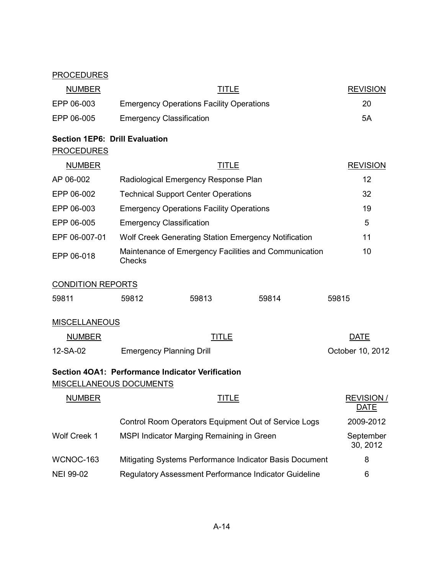## **PROCEDURES**

| <b>NUMBER</b>                                              | TITLE                                           | <b>REVISION</b> |
|------------------------------------------------------------|-------------------------------------------------|-----------------|
| EPP 06-003                                                 | <b>Emergency Operations Facility Operations</b> | 20              |
| EPP 06-005                                                 | <b>Emergency Classification</b>                 | 5Α              |
| <b>Section 1EP6: Drill Evaluation</b><br><b>PROCEDURES</b> |                                                 |                 |

| <b>NUMBER</b> | <u>TITLE</u>                                                    | <b>REVISION</b> |
|---------------|-----------------------------------------------------------------|-----------------|
| AP 06-002     | Radiological Emergency Response Plan                            | 12              |
| EPP 06-002    | <b>Technical Support Center Operations</b>                      | 32              |
| EPP 06-003    | <b>Emergency Operations Facility Operations</b>                 | 19              |
| EPP 06-005    | <b>Emergency Classification</b>                                 | 5               |
| EPF 06-007-01 | Wolf Creek Generating Station Emergency Notification            | 11              |
| EPP 06-018    | Maintenance of Emergency Facilities and Communication<br>Checks | 10              |
|               |                                                                 |                 |

# CONDITION REPORTS

| 59811 | 59812 | 59813 | 59814 | 59815 |
|-------|-------|-------|-------|-------|
|       |       |       |       |       |

# **MISCELLANEOUS**

| <b>NUMBER</b> | TITLE                           | DATE             |
|---------------|---------------------------------|------------------|
| 12-SA-02      | <b>Emergency Planning Drill</b> | October 10, 2012 |

# **Section 4OA1: Performance Indicator Verification**

# MISCELLANEOUS DOCUMENTS

| <b>NUMBER</b>    | TITLE                                                   | <b>REVISION/</b><br><b>DATE</b> |
|------------------|---------------------------------------------------------|---------------------------------|
|                  | Control Room Operators Equipment Out of Service Logs    | 2009-2012                       |
| Wolf Creek 1     | MSPI Indicator Marging Remaining in Green               | September<br>30, 2012           |
| WCNOC-163        | Mitigating Systems Performance Indicator Basis Document | 8                               |
| <b>NEI 99-02</b> | Regulatory Assessment Performance Indicator Guideline   | 6                               |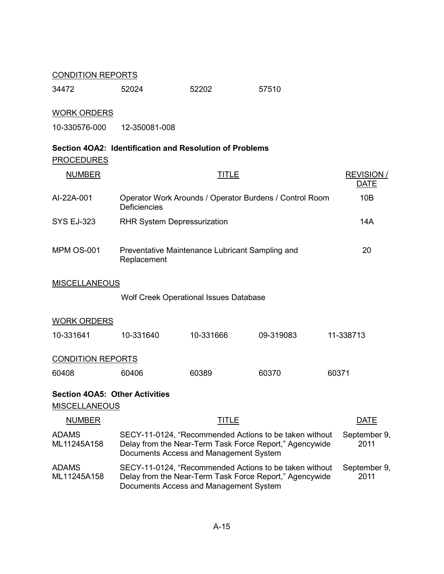### CONDITION REPORTS

| 34472 | 52024 | 52202 | 57510 |
|-------|-------|-------|-------|
|       |       |       |       |

# WORK ORDERS

10-330576-000 12-350081-008

# **Section 4OA2: Identification and Resolution of Problems PROCEDURES**

| <b>NUMBER</b>                                                 |                                                                                                                                                             | <b>TITLE</b>         |           | <b>REVISION/</b><br><b>DATE</b> |  |  |  |
|---------------------------------------------------------------|-------------------------------------------------------------------------------------------------------------------------------------------------------------|----------------------|-----------|---------------------------------|--|--|--|
| Al-22A-001                                                    | Operator Work Arounds / Operator Burdens / Control Room<br><b>Deficiencies</b>                                                                              | 10B                  |           |                                 |  |  |  |
| <b>SYS EJ-323</b>                                             | <b>RHR System Depressurization</b>                                                                                                                          | 14A                  |           |                                 |  |  |  |
| <b>MPM OS-001</b>                                             | Preventative Maintenance Lubricant Sampling and<br>Replacement                                                                                              | 20                   |           |                                 |  |  |  |
| <b>MISCELLANEOUS</b>                                          |                                                                                                                                                             |                      |           |                                 |  |  |  |
|                                                               | Wolf Creek Operational Issues Database                                                                                                                      |                      |           |                                 |  |  |  |
| <b>WORK ORDERS</b>                                            |                                                                                                                                                             |                      |           |                                 |  |  |  |
| 10-331641                                                     | 10-331640                                                                                                                                                   | 10-331666            | 09-319083 | 11-338713                       |  |  |  |
| <b>CONDITION REPORTS</b>                                      |                                                                                                                                                             |                      |           |                                 |  |  |  |
| 60408                                                         | 60406                                                                                                                                                       | 60389                | 60370     | 60371                           |  |  |  |
| <b>Section 4OA5: Other Activities</b><br><b>MISCELLANEOUS</b> |                                                                                                                                                             |                      |           |                                 |  |  |  |
| <b>NUMBER</b>                                                 |                                                                                                                                                             | <b>DATE</b>          |           |                                 |  |  |  |
| <b>ADAMS</b><br>ML11245A158                                   | SECY-11-0124, "Recommended Actions to be taken without<br>Delay from the Near-Term Task Force Report," Agencywide<br>Documents Access and Management System | September 9,<br>2011 |           |                                 |  |  |  |
| <b>ADAMS</b><br>ML11245A158                                   | SECY-11-0124, "Recommended Actions to be taken without<br>Delay from the Near-Term Task Force Report," Agencywide                                           | September 9,<br>2011 |           |                                 |  |  |  |